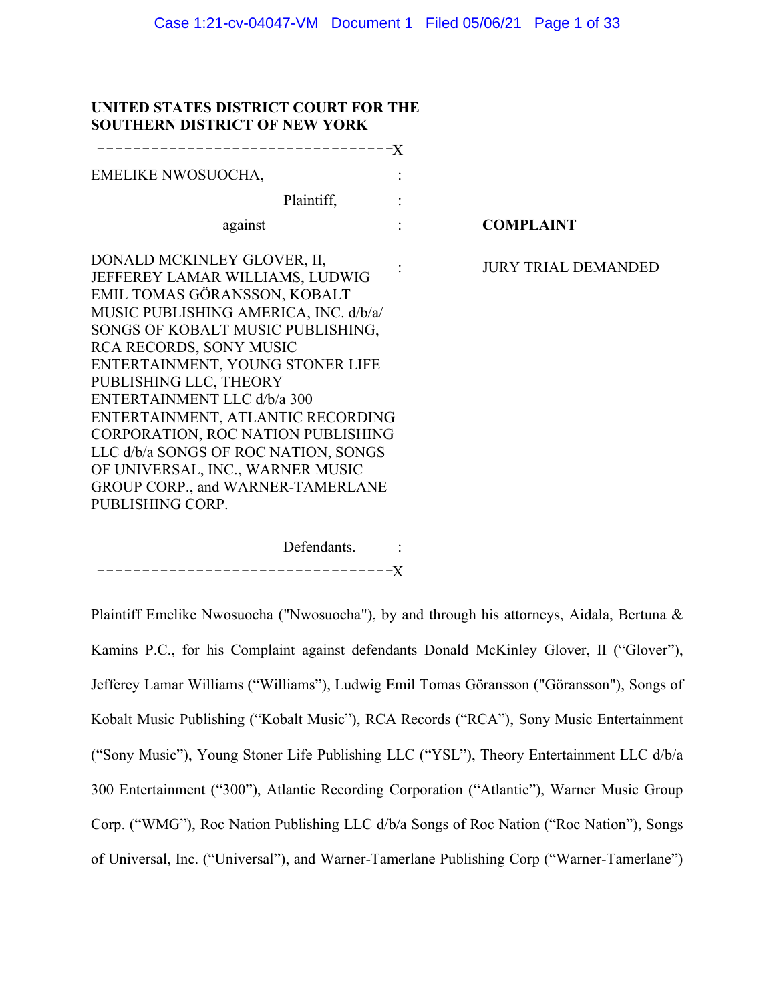# **UNITED STATES DISTRICT COURT FOR THE SOUTHERN DISTRICT OF NEW YORK**

| <b>COMPLAINT</b>           |
|----------------------------|
| <b>JURY TRIAL DEMANDED</b> |
|                            |

Defendants. : – – – – – – – – – – – – – – – – – – – – – – – – – – – – – – – – –X

Plaintiff Emelike Nwosuocha ("Nwosuocha"), by and through his attorneys, Aidala, Bertuna & Kamins P.C., for his Complaint against defendants Donald McKinley Glover, II ("Glover"), Jefferey Lamar Williams ("Williams"), Ludwig Emil Tomas Göransson ("Göransson"), Songs of Kobalt Music Publishing ("Kobalt Music"), RCA Records ("RCA"), Sony Music Entertainment ("Sony Music"), Young Stoner Life Publishing LLC ("YSL"), Theory Entertainment LLC d/b/a 300 Entertainment ("300"), Atlantic Recording Corporation ("Atlantic"), Warner Music Group Corp. ("WMG"), Roc Nation Publishing LLC d/b/a Songs of Roc Nation ("Roc Nation"), Songs of Universal, Inc. ("Universal"), and Warner-Tamerlane Publishing Corp ("Warner-Tamerlane")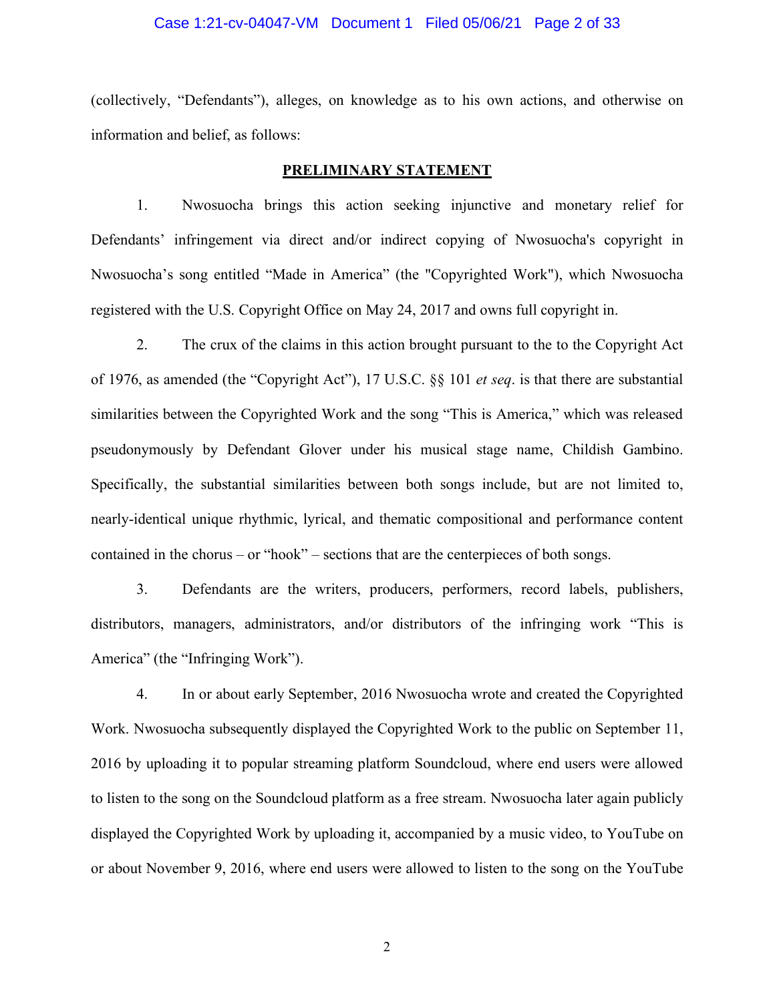#### Case 1:21-cv-04047-VM Document 1 Filed 05/06/21 Page 2 of 33

(collectively, "Defendants"), alleges, on knowledge as to his own actions, and otherwise on information and belief, as follows:

# **PRELIMINARY STATEMENT**

1. Nwosuocha brings this action seeking injunctive and monetary relief for Defendants' infringement via direct and/or indirect copying of Nwosuocha's copyright in Nwosuocha's song entitled "Made in America" (the "Copyrighted Work"), which Nwosuocha registered with the U.S. Copyright Office on May 24, 2017 and owns full copyright in.

2. The crux of the claims in this action brought pursuant to the to the Copyright Act of 1976, as amended (the "Copyright Act"), 17 U.S.C. §§ 101 *et seq*. is that there are substantial similarities between the Copyrighted Work and the song "This is America," which was released pseudonymously by Defendant Glover under his musical stage name, Childish Gambino. Specifically, the substantial similarities between both songs include, but are not limited to, nearly-identical unique rhythmic, lyrical, and thematic compositional and performance content contained in the chorus – or "hook" – sections that are the centerpieces of both songs.

3. Defendants are the writers, producers, performers, record labels, publishers, distributors, managers, administrators, and/or distributors of the infringing work "This is America" (the "Infringing Work").

4. In or about early September, 2016 Nwosuocha wrote and created the Copyrighted Work. Nwosuocha subsequently displayed the Copyrighted Work to the public on September 11, 2016 by uploading it to popular streaming platform Soundcloud, where end users were allowed to listen to the song on the Soundcloud platform as a free stream. Nwosuocha later again publicly displayed the Copyrighted Work by uploading it, accompanied by a music video, to YouTube on or about November 9, 2016, where end users were allowed to listen to the song on the YouTube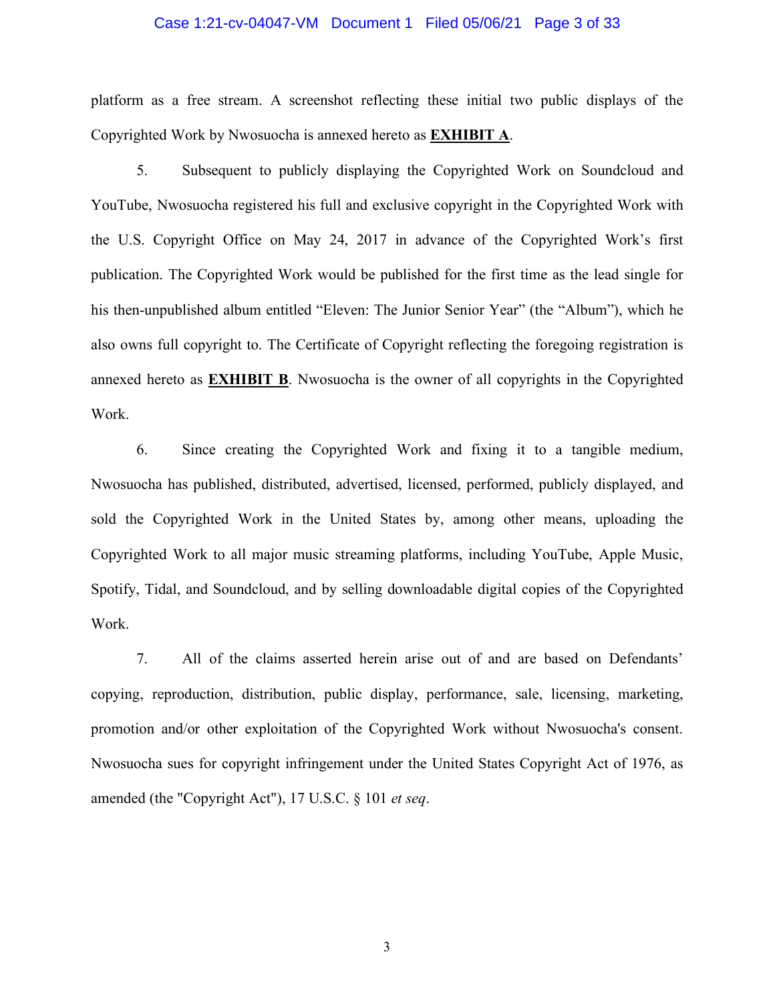#### Case 1:21-cv-04047-VM Document 1 Filed 05/06/21 Page 3 of 33

platform as a free stream. A screenshot reflecting these initial two public displays of the Copyrighted Work by Nwosuocha is annexed hereto as **EXHIBIT A**.

5. Subsequent to publicly displaying the Copyrighted Work on Soundcloud and YouTube, Nwosuocha registered his full and exclusive copyright in the Copyrighted Work with the U.S. Copyright Office on May 24, 2017 in advance of the Copyrighted Work's first publication. The Copyrighted Work would be published for the first time as the lead single for his then-unpublished album entitled "Eleven: The Junior Senior Year" (the "Album"), which he also owns full copyright to. The Certificate of Copyright reflecting the foregoing registration is annexed hereto as **EXHIBIT B**. Nwosuocha is the owner of all copyrights in the Copyrighted Work.

6. Since creating the Copyrighted Work and fixing it to a tangible medium, Nwosuocha has published, distributed, advertised, licensed, performed, publicly displayed, and sold the Copyrighted Work in the United States by, among other means, uploading the Copyrighted Work to all major music streaming platforms, including YouTube, Apple Music, Spotify, Tidal, and Soundcloud, and by selling downloadable digital copies of the Copyrighted Work.

7. All of the claims asserted herein arise out of and are based on Defendants' copying, reproduction, distribution, public display, performance, sale, licensing, marketing, promotion and/or other exploitation of the Copyrighted Work without Nwosuocha's consent. Nwosuocha sues for copyright infringement under the United States Copyright Act of 1976, as amended (the "Copyright Act"), 17 U.S.C. § 101 *et seq*.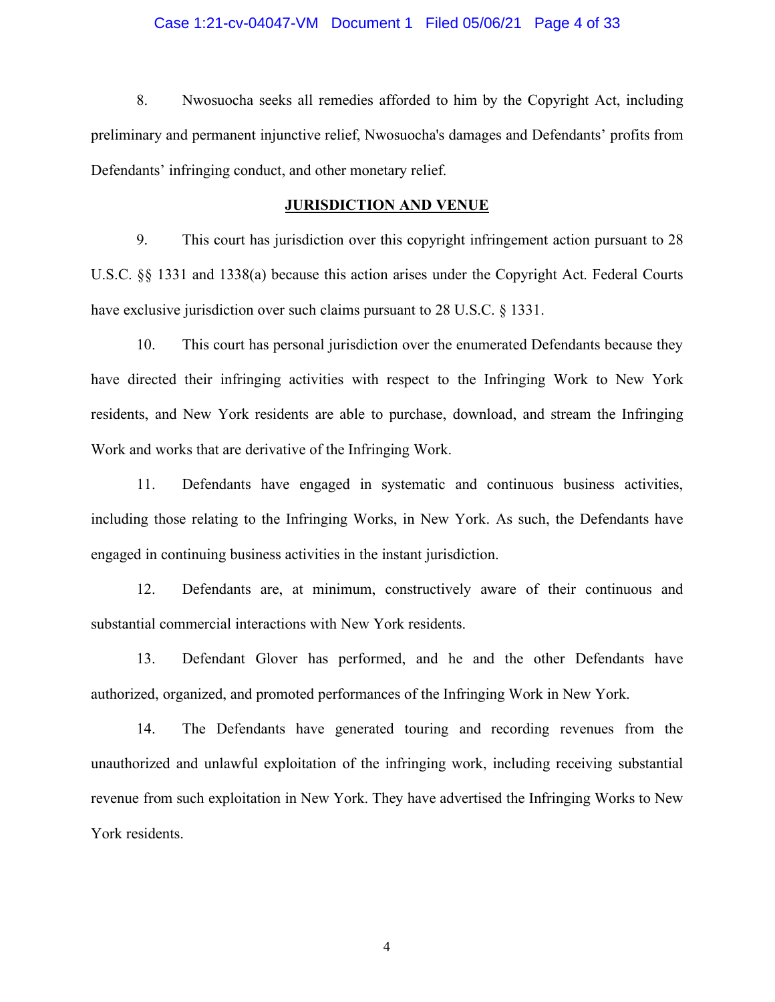#### Case 1:21-cv-04047-VM Document 1 Filed 05/06/21 Page 4 of 33

8. Nwosuocha seeks all remedies afforded to him by the Copyright Act, including preliminary and permanent injunctive relief, Nwosuocha's damages and Defendants' profits from Defendants' infringing conduct, and other monetary relief.

### **JURISDICTION AND VENUE**

9. This court has jurisdiction over this copyright infringement action pursuant to 28 U.S.C. §§ 1331 and 1338(a) because this action arises under the Copyright Act. Federal Courts have exclusive jurisdiction over such claims pursuant to 28 U.S.C. § 1331.

10. This court has personal jurisdiction over the enumerated Defendants because they have directed their infringing activities with respect to the Infringing Work to New York residents, and New York residents are able to purchase, download, and stream the Infringing Work and works that are derivative of the Infringing Work.

11. Defendants have engaged in systematic and continuous business activities, including those relating to the Infringing Works, in New York. As such, the Defendants have engaged in continuing business activities in the instant jurisdiction.

12. Defendants are, at minimum, constructively aware of their continuous and substantial commercial interactions with New York residents.

13. Defendant Glover has performed, and he and the other Defendants have authorized, organized, and promoted performances of the Infringing Work in New York.

14. The Defendants have generated touring and recording revenues from the unauthorized and unlawful exploitation of the infringing work, including receiving substantial revenue from such exploitation in New York. They have advertised the Infringing Works to New York residents.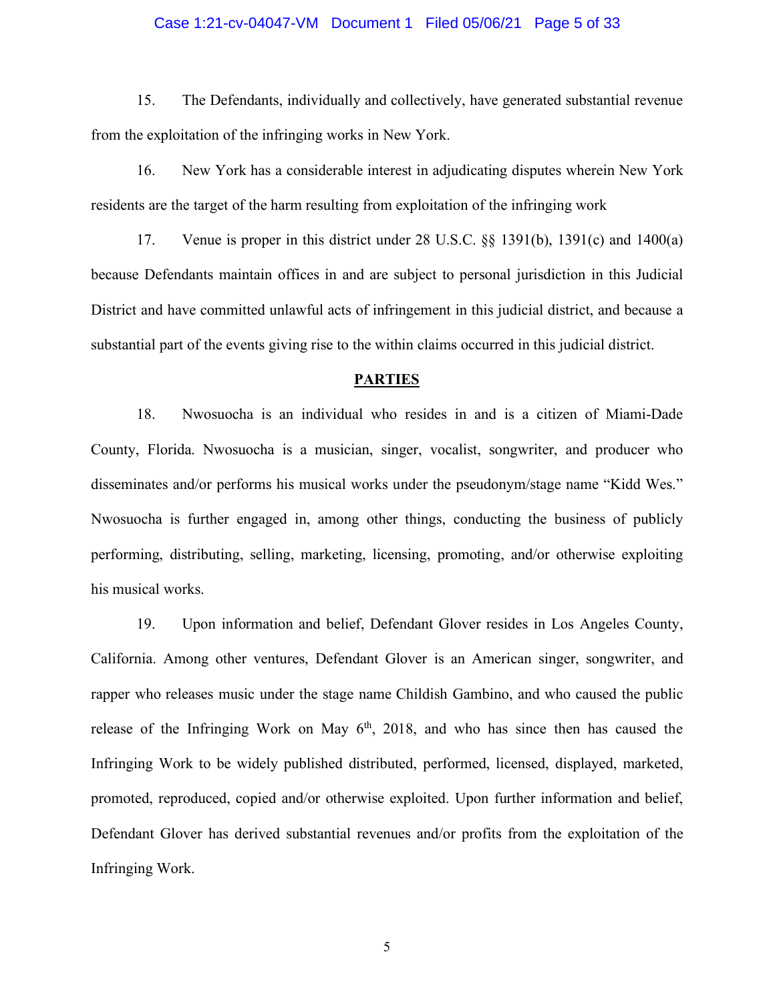#### Case 1:21-cv-04047-VM Document 1 Filed 05/06/21 Page 5 of 33

15. The Defendants, individually and collectively, have generated substantial revenue from the exploitation of the infringing works in New York.

16. New York has a considerable interest in adjudicating disputes wherein New York residents are the target of the harm resulting from exploitation of the infringing work

17. Venue is proper in this district under 28 U.S.C. §§ 1391(b), 1391(c) and 1400(a) because Defendants maintain offices in and are subject to personal jurisdiction in this Judicial District and have committed unlawful acts of infringement in this judicial district, and because a substantial part of the events giving rise to the within claims occurred in this judicial district.

#### **PARTIES**

18. Nwosuocha is an individual who resides in and is a citizen of Miami-Dade County, Florida. Nwosuocha is a musician, singer, vocalist, songwriter, and producer who disseminates and/or performs his musical works under the pseudonym/stage name "Kidd Wes." Nwosuocha is further engaged in, among other things, conducting the business of publicly performing, distributing, selling, marketing, licensing, promoting, and/or otherwise exploiting his musical works.

19. Upon information and belief, Defendant Glover resides in Los Angeles County, California. Among other ventures, Defendant Glover is an American singer, songwriter, and rapper who releases music under the stage name Childish Gambino, and who caused the public release of the Infringing Work on May  $6<sup>th</sup>$ , 2018, and who has since then has caused the Infringing Work to be widely published distributed, performed, licensed, displayed, marketed, promoted, reproduced, copied and/or otherwise exploited. Upon further information and belief, Defendant Glover has derived substantial revenues and/or profits from the exploitation of the Infringing Work.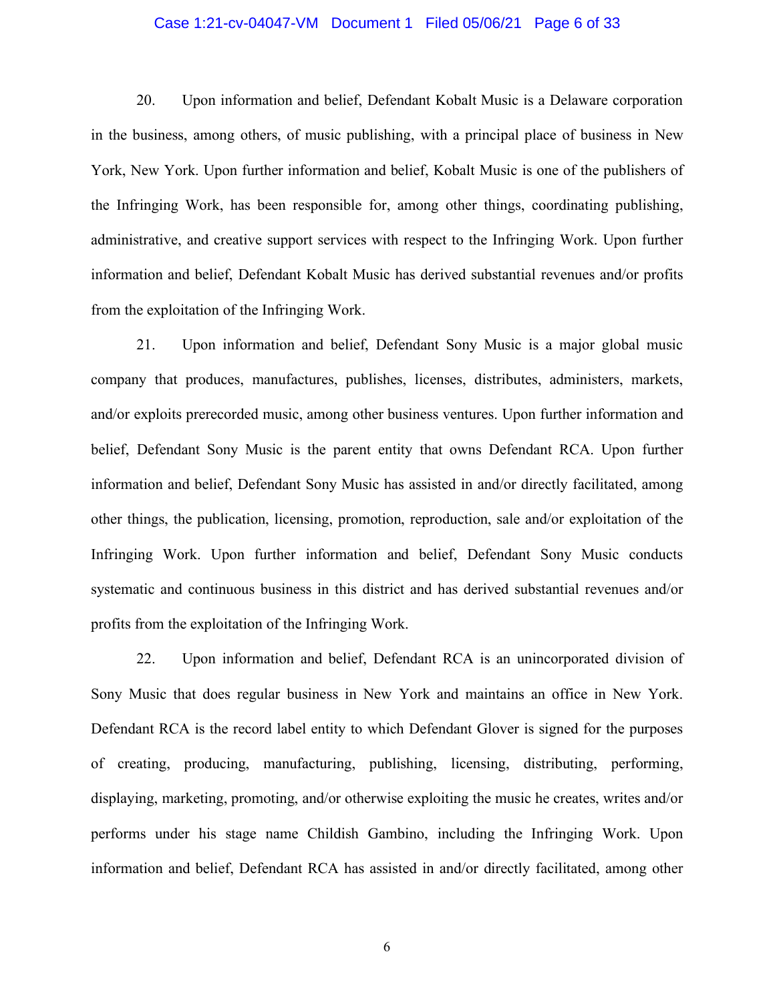### Case 1:21-cv-04047-VM Document 1 Filed 05/06/21 Page 6 of 33

20. Upon information and belief, Defendant Kobalt Music is a Delaware corporation in the business, among others, of music publishing, with a principal place of business in New York, New York. Upon further information and belief, Kobalt Music is one of the publishers of the Infringing Work, has been responsible for, among other things, coordinating publishing, administrative, and creative support services with respect to the Infringing Work. Upon further information and belief, Defendant Kobalt Music has derived substantial revenues and/or profits from the exploitation of the Infringing Work.

21. Upon information and belief, Defendant Sony Music is a major global music company that produces, manufactures, publishes, licenses, distributes, administers, markets, and/or exploits prerecorded music, among other business ventures. Upon further information and belief, Defendant Sony Music is the parent entity that owns Defendant RCA. Upon further information and belief, Defendant Sony Music has assisted in and/or directly facilitated, among other things, the publication, licensing, promotion, reproduction, sale and/or exploitation of the Infringing Work. Upon further information and belief, Defendant Sony Music conducts systematic and continuous business in this district and has derived substantial revenues and/or profits from the exploitation of the Infringing Work.

22. Upon information and belief, Defendant RCA is an unincorporated division of Sony Music that does regular business in New York and maintains an office in New York. Defendant RCA is the record label entity to which Defendant Glover is signed for the purposes of creating, producing, manufacturing, publishing, licensing, distributing, performing, displaying, marketing, promoting, and/or otherwise exploiting the music he creates, writes and/or performs under his stage name Childish Gambino, including the Infringing Work. Upon information and belief, Defendant RCA has assisted in and/or directly facilitated, among other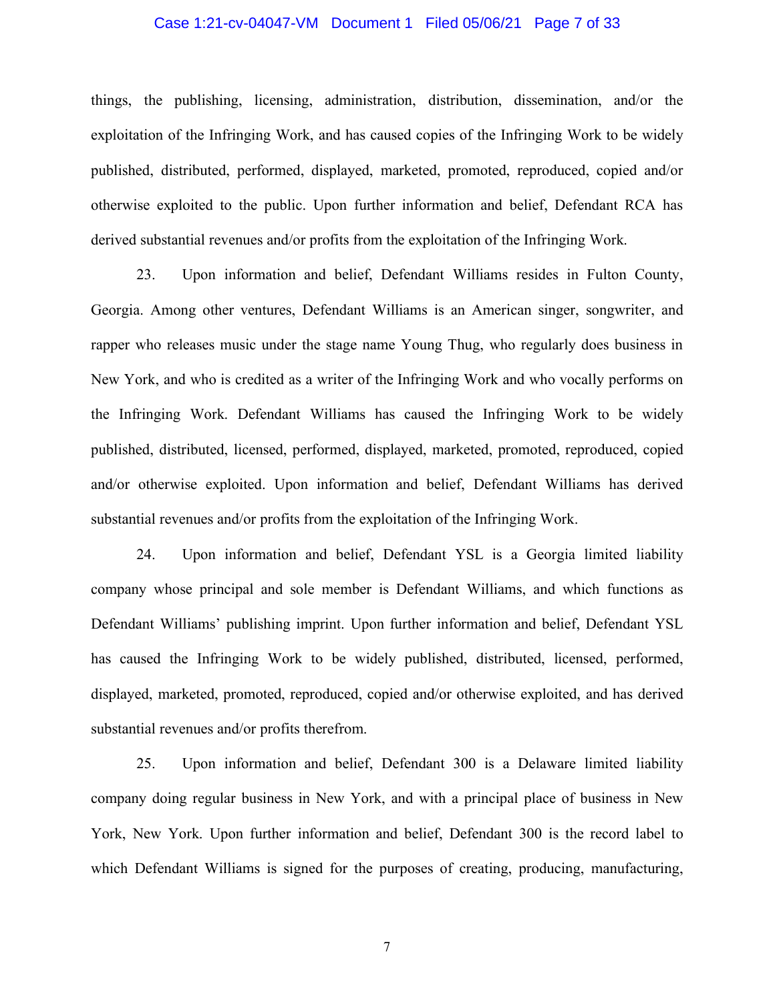### Case 1:21-cv-04047-VM Document 1 Filed 05/06/21 Page 7 of 33

things, the publishing, licensing, administration, distribution, dissemination, and/or the exploitation of the Infringing Work, and has caused copies of the Infringing Work to be widely published, distributed, performed, displayed, marketed, promoted, reproduced, copied and/or otherwise exploited to the public. Upon further information and belief, Defendant RCA has derived substantial revenues and/or profits from the exploitation of the Infringing Work.

23. Upon information and belief, Defendant Williams resides in Fulton County, Georgia. Among other ventures, Defendant Williams is an American singer, songwriter, and rapper who releases music under the stage name Young Thug, who regularly does business in New York, and who is credited as a writer of the Infringing Work and who vocally performs on the Infringing Work. Defendant Williams has caused the Infringing Work to be widely published, distributed, licensed, performed, displayed, marketed, promoted, reproduced, copied and/or otherwise exploited. Upon information and belief, Defendant Williams has derived substantial revenues and/or profits from the exploitation of the Infringing Work.

24. Upon information and belief, Defendant YSL is a Georgia limited liability company whose principal and sole member is Defendant Williams, and which functions as Defendant Williams' publishing imprint. Upon further information and belief, Defendant YSL has caused the Infringing Work to be widely published, distributed, licensed, performed, displayed, marketed, promoted, reproduced, copied and/or otherwise exploited, and has derived substantial revenues and/or profits therefrom.

25. Upon information and belief, Defendant 300 is a Delaware limited liability company doing regular business in New York, and with a principal place of business in New York, New York. Upon further information and belief, Defendant 300 is the record label to which Defendant Williams is signed for the purposes of creating, producing, manufacturing,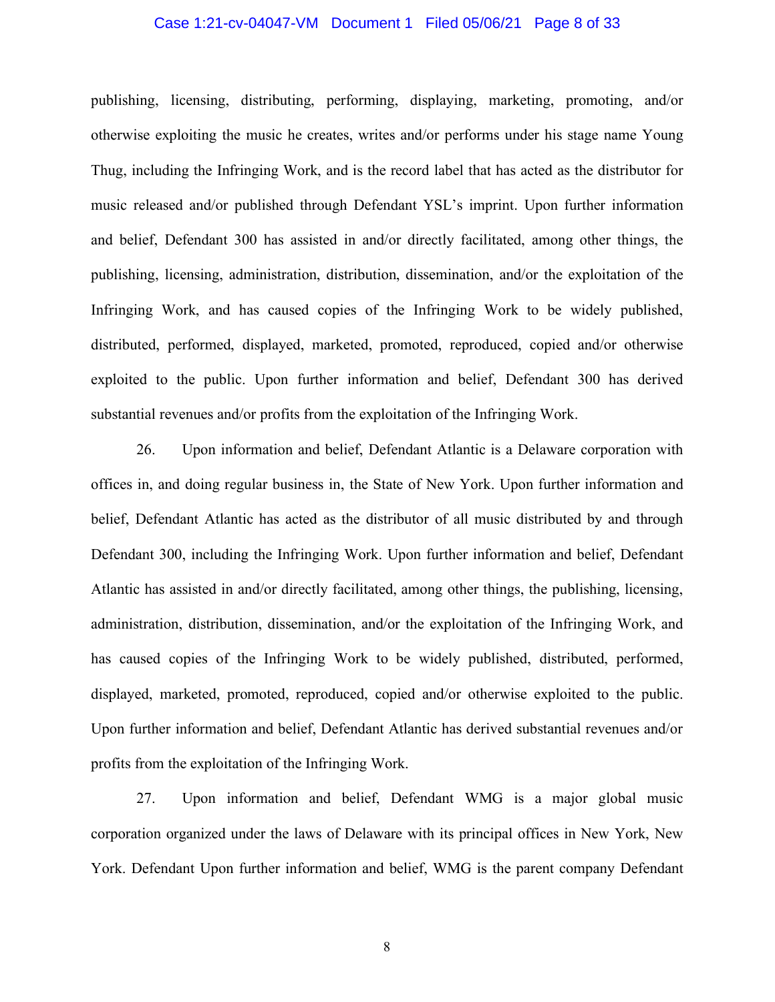### Case 1:21-cv-04047-VM Document 1 Filed 05/06/21 Page 8 of 33

publishing, licensing, distributing, performing, displaying, marketing, promoting, and/or otherwise exploiting the music he creates, writes and/or performs under his stage name Young Thug, including the Infringing Work, and is the record label that has acted as the distributor for music released and/or published through Defendant YSL's imprint. Upon further information and belief, Defendant 300 has assisted in and/or directly facilitated, among other things, the publishing, licensing, administration, distribution, dissemination, and/or the exploitation of the Infringing Work, and has caused copies of the Infringing Work to be widely published, distributed, performed, displayed, marketed, promoted, reproduced, copied and/or otherwise exploited to the public. Upon further information and belief, Defendant 300 has derived substantial revenues and/or profits from the exploitation of the Infringing Work.

26. Upon information and belief, Defendant Atlantic is a Delaware corporation with offices in, and doing regular business in, the State of New York. Upon further information and belief, Defendant Atlantic has acted as the distributor of all music distributed by and through Defendant 300, including the Infringing Work. Upon further information and belief, Defendant Atlantic has assisted in and/or directly facilitated, among other things, the publishing, licensing, administration, distribution, dissemination, and/or the exploitation of the Infringing Work, and has caused copies of the Infringing Work to be widely published, distributed, performed, displayed, marketed, promoted, reproduced, copied and/or otherwise exploited to the public. Upon further information and belief, Defendant Atlantic has derived substantial revenues and/or profits from the exploitation of the Infringing Work.

27. Upon information and belief, Defendant WMG is a major global music corporation organized under the laws of Delaware with its principal offices in New York, New York. Defendant Upon further information and belief, WMG is the parent company Defendant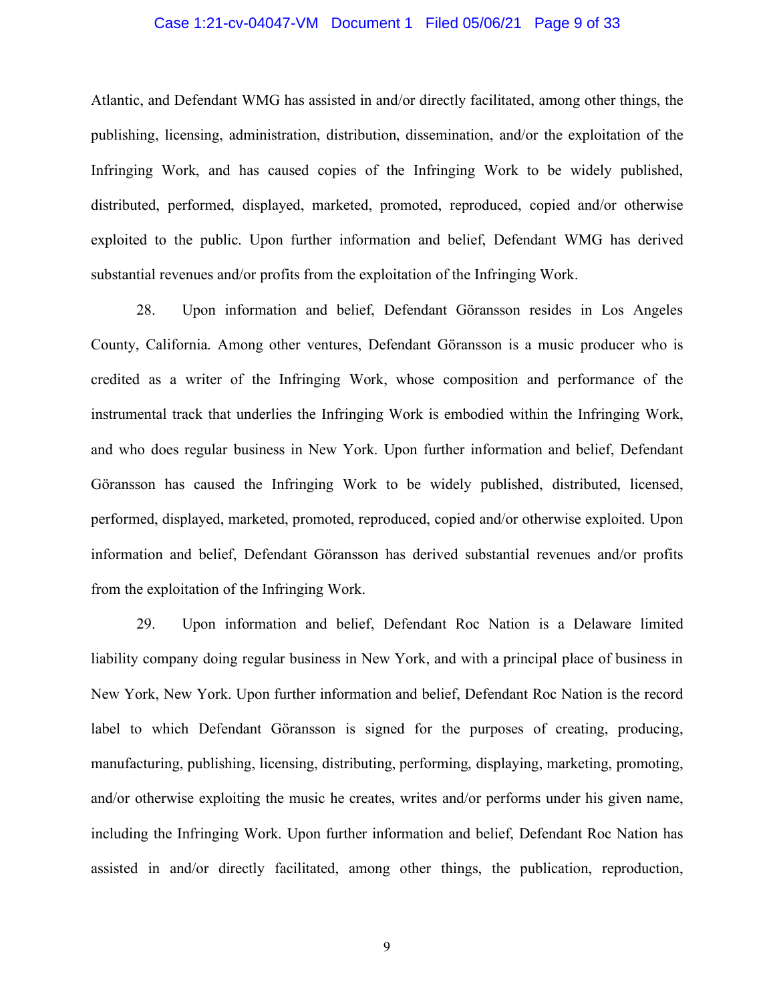### Case 1:21-cv-04047-VM Document 1 Filed 05/06/21 Page 9 of 33

Atlantic, and Defendant WMG has assisted in and/or directly facilitated, among other things, the publishing, licensing, administration, distribution, dissemination, and/or the exploitation of the Infringing Work, and has caused copies of the Infringing Work to be widely published, distributed, performed, displayed, marketed, promoted, reproduced, copied and/or otherwise exploited to the public. Upon further information and belief, Defendant WMG has derived substantial revenues and/or profits from the exploitation of the Infringing Work.

28. Upon information and belief, Defendant Göransson resides in Los Angeles County, California. Among other ventures, Defendant Göransson is a music producer who is credited as a writer of the Infringing Work, whose composition and performance of the instrumental track that underlies the Infringing Work is embodied within the Infringing Work, and who does regular business in New York. Upon further information and belief, Defendant Göransson has caused the Infringing Work to be widely published, distributed, licensed, performed, displayed, marketed, promoted, reproduced, copied and/or otherwise exploited. Upon information and belief, Defendant Göransson has derived substantial revenues and/or profits from the exploitation of the Infringing Work.

29. Upon information and belief, Defendant Roc Nation is a Delaware limited liability company doing regular business in New York, and with a principal place of business in New York, New York. Upon further information and belief, Defendant Roc Nation is the record label to which Defendant Göransson is signed for the purposes of creating, producing, manufacturing, publishing, licensing, distributing, performing, displaying, marketing, promoting, and/or otherwise exploiting the music he creates, writes and/or performs under his given name, including the Infringing Work. Upon further information and belief, Defendant Roc Nation has assisted in and/or directly facilitated, among other things, the publication, reproduction,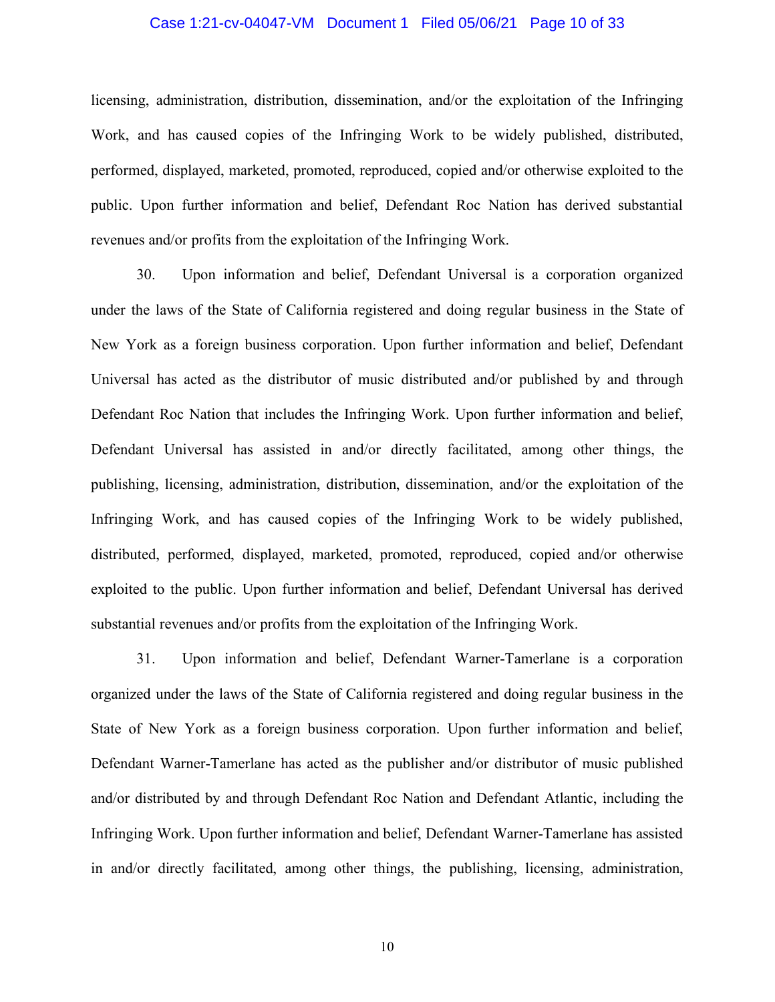### Case 1:21-cv-04047-VM Document 1 Filed 05/06/21 Page 10 of 33

licensing, administration, distribution, dissemination, and/or the exploitation of the Infringing Work, and has caused copies of the Infringing Work to be widely published, distributed, performed, displayed, marketed, promoted, reproduced, copied and/or otherwise exploited to the public. Upon further information and belief, Defendant Roc Nation has derived substantial revenues and/or profits from the exploitation of the Infringing Work.

30. Upon information and belief, Defendant Universal is a corporation organized under the laws of the State of California registered and doing regular business in the State of New York as a foreign business corporation. Upon further information and belief, Defendant Universal has acted as the distributor of music distributed and/or published by and through Defendant Roc Nation that includes the Infringing Work. Upon further information and belief, Defendant Universal has assisted in and/or directly facilitated, among other things, the publishing, licensing, administration, distribution, dissemination, and/or the exploitation of the Infringing Work, and has caused copies of the Infringing Work to be widely published, distributed, performed, displayed, marketed, promoted, reproduced, copied and/or otherwise exploited to the public. Upon further information and belief, Defendant Universal has derived substantial revenues and/or profits from the exploitation of the Infringing Work.

31. Upon information and belief, Defendant Warner-Tamerlane is a corporation organized under the laws of the State of California registered and doing regular business in the State of New York as a foreign business corporation. Upon further information and belief, Defendant Warner-Tamerlane has acted as the publisher and/or distributor of music published and/or distributed by and through Defendant Roc Nation and Defendant Atlantic, including the Infringing Work. Upon further information and belief, Defendant Warner-Tamerlane has assisted in and/or directly facilitated, among other things, the publishing, licensing, administration,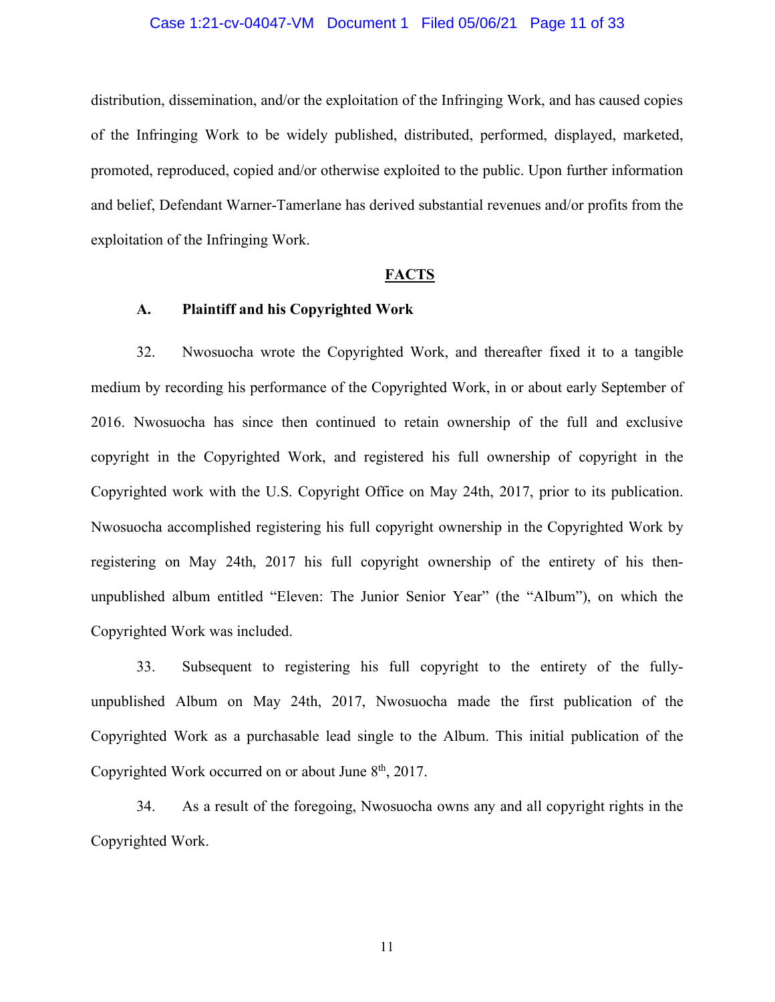#### Case 1:21-cv-04047-VM Document 1 Filed 05/06/21 Page 11 of 33

distribution, dissemination, and/or the exploitation of the Infringing Work, and has caused copies of the Infringing Work to be widely published, distributed, performed, displayed, marketed, promoted, reproduced, copied and/or otherwise exploited to the public. Upon further information and belief, Defendant Warner-Tamerlane has derived substantial revenues and/or profits from the exploitation of the Infringing Work.

#### **FACTS**

#### **A. Plaintiff and his Copyrighted Work**

32. Nwosuocha wrote the Copyrighted Work, and thereafter fixed it to a tangible medium by recording his performance of the Copyrighted Work, in or about early September of 2016. Nwosuocha has since then continued to retain ownership of the full and exclusive copyright in the Copyrighted Work, and registered his full ownership of copyright in the Copyrighted work with the U.S. Copyright Office on May 24th, 2017, prior to its publication. Nwosuocha accomplished registering his full copyright ownership in the Copyrighted Work by registering on May 24th, 2017 his full copyright ownership of the entirety of his thenunpublished album entitled "Eleven: The Junior Senior Year" (the "Album"), on which the Copyrighted Work was included.

33. Subsequent to registering his full copyright to the entirety of the fullyunpublished Album on May 24th, 2017, Nwosuocha made the first publication of the Copyrighted Work as a purchasable lead single to the Album. This initial publication of the Copyrighted Work occurred on or about June  $8<sup>th</sup>$ , 2017.

34. As a result of the foregoing, Nwosuocha owns any and all copyright rights in the Copyrighted Work.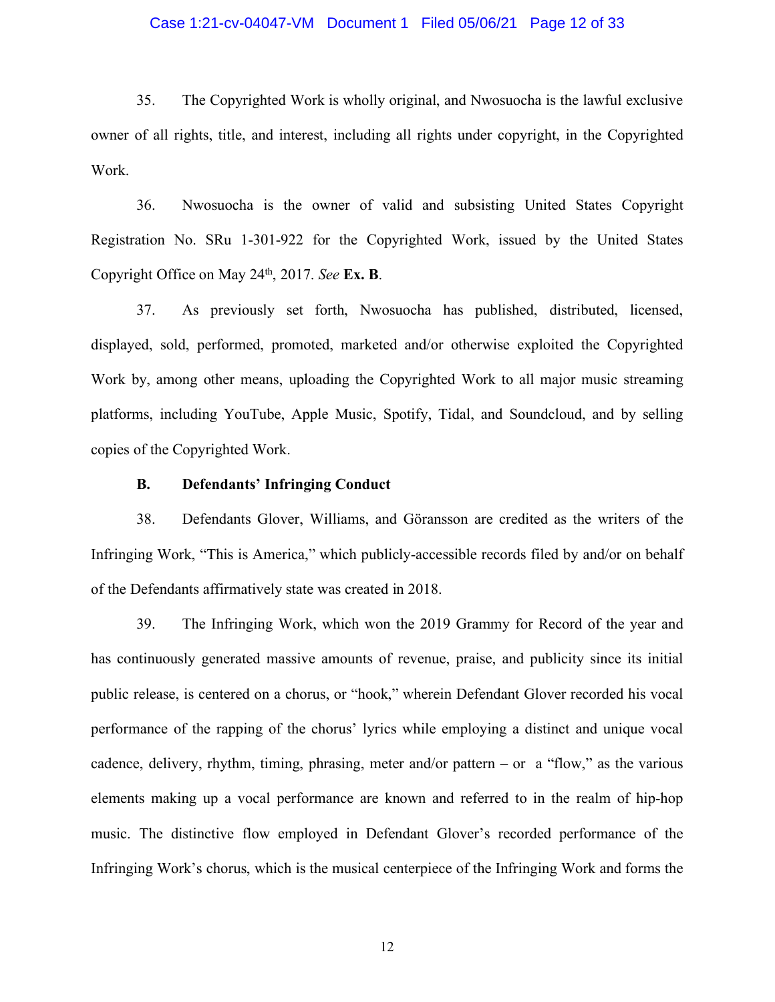### Case 1:21-cv-04047-VM Document 1 Filed 05/06/21 Page 12 of 33

35. The Copyrighted Work is wholly original, and Nwosuocha is the lawful exclusive owner of all rights, title, and interest, including all rights under copyright, in the Copyrighted Work.

36. Nwosuocha is the owner of valid and subsisting United States Copyright Registration No. SRu 1-301-922 for the Copyrighted Work, issued by the United States Copyright Office on May 24th, 2017. *See* **Ex. B**.

37. As previously set forth, Nwosuocha has published, distributed, licensed, displayed, sold, performed, promoted, marketed and/or otherwise exploited the Copyrighted Work by, among other means, uploading the Copyrighted Work to all major music streaming platforms, including YouTube, Apple Music, Spotify, Tidal, and Soundcloud, and by selling copies of the Copyrighted Work.

## **B. Defendants' Infringing Conduct**

38. Defendants Glover, Williams, and Göransson are credited as the writers of the Infringing Work, "This is America," which publicly-accessible records filed by and/or on behalf of the Defendants affirmatively state was created in 2018.

39. The Infringing Work, which won the 2019 Grammy for Record of the year and has continuously generated massive amounts of revenue, praise, and publicity since its initial public release, is centered on a chorus, or "hook," wherein Defendant Glover recorded his vocal performance of the rapping of the chorus' lyrics while employing a distinct and unique vocal cadence, delivery, rhythm, timing, phrasing, meter and/or pattern – or a "flow," as the various elements making up a vocal performance are known and referred to in the realm of hip-hop music. The distinctive flow employed in Defendant Glover's recorded performance of the Infringing Work's chorus, which is the musical centerpiece of the Infringing Work and forms the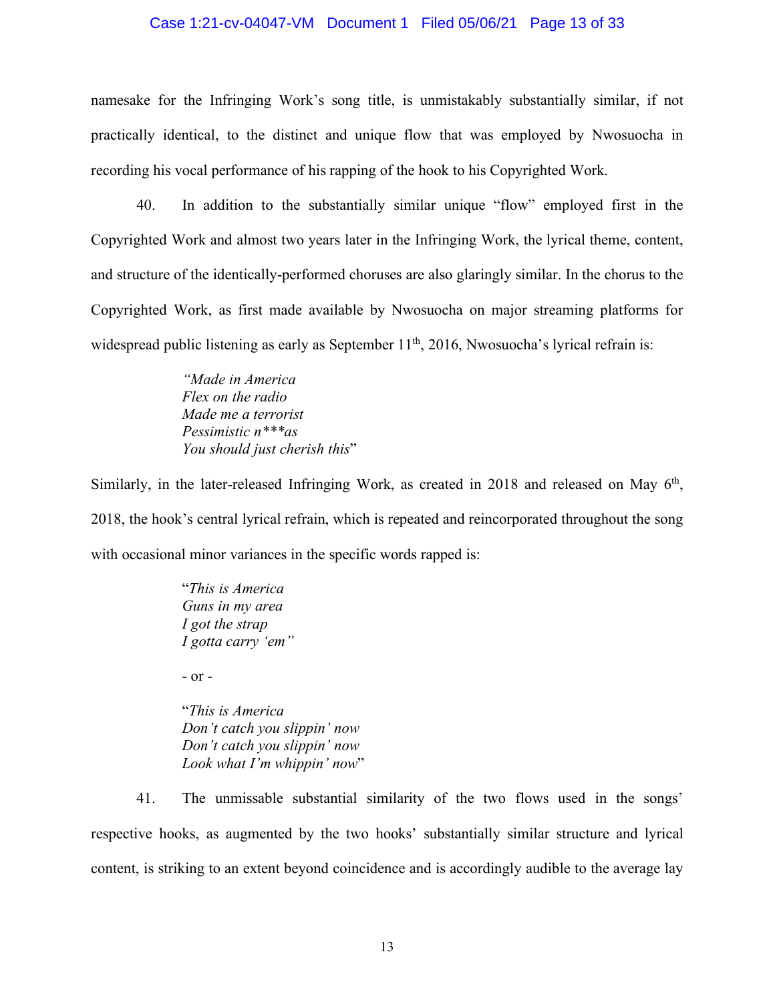#### Case 1:21-cv-04047-VM Document 1 Filed 05/06/21 Page 13 of 33

namesake for the Infringing Work's song title, is unmistakably substantially similar, if not practically identical, to the distinct and unique flow that was employed by Nwosuocha in recording his vocal performance of his rapping of the hook to his Copyrighted Work.

40. In addition to the substantially similar unique "flow" employed first in the Copyrighted Work and almost two years later in the Infringing Work, the lyrical theme, content, and structure of the identically-performed choruses are also glaringly similar. In the chorus to the Copyrighted Work, as first made available by Nwosuocha on major streaming platforms for widespread public listening as early as September  $11<sup>th</sup>$ , 2016, Nwosuocha's lyrical refrain is:

> *"Made in America Flex on the radio Made me a terrorist Pessimistic n\*\*\*as You should just cherish this*"

Similarly, in the later-released Infringing Work, as created in 2018 and released on May  $6<sup>th</sup>$ , 2018, the hook's central lyrical refrain, which is repeated and reincorporated throughout the song with occasional minor variances in the specific words rapped is:

> "*This is America Guns in my area I got the strap I gotta carry 'em"*

- or -

"*This is America Don't catch you slippin' now Don't catch you slippin' now Look what I'm whippin' now*"

41. The unmissable substantial similarity of the two flows used in the songs' respective hooks, as augmented by the two hooks' substantially similar structure and lyrical content, is striking to an extent beyond coincidence and is accordingly audible to the average lay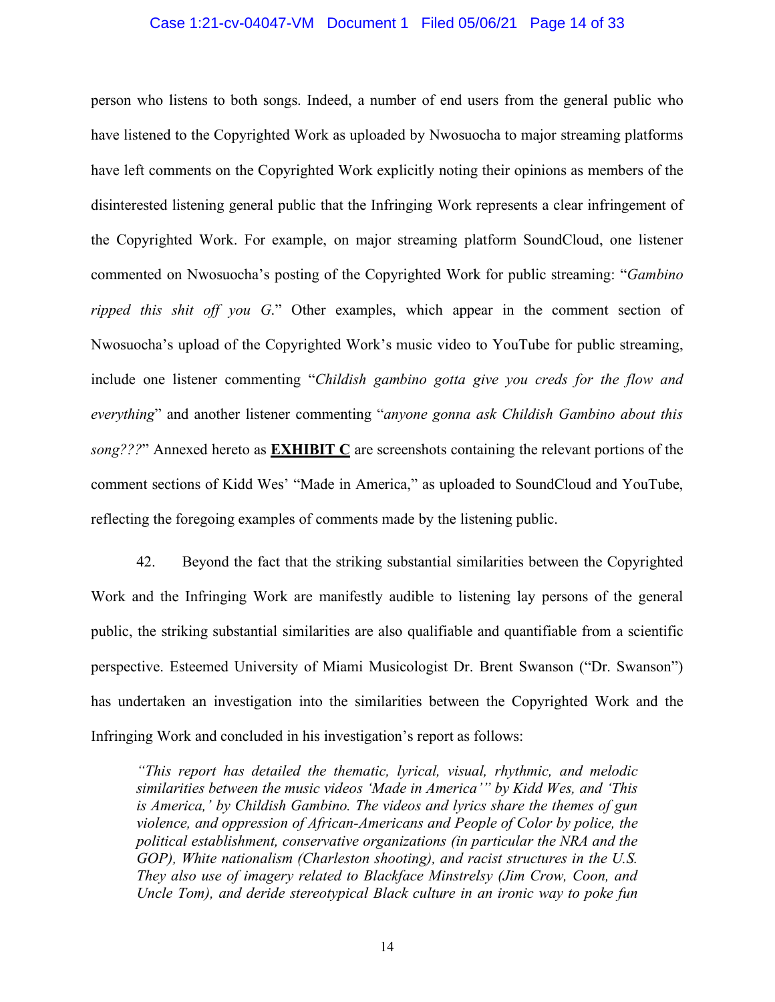#### Case 1:21-cv-04047-VM Document 1 Filed 05/06/21 Page 14 of 33

person who listens to both songs. Indeed, a number of end users from the general public who have listened to the Copyrighted Work as uploaded by Nwosuocha to major streaming platforms have left comments on the Copyrighted Work explicitly noting their opinions as members of the disinterested listening general public that the Infringing Work represents a clear infringement of the Copyrighted Work. For example, on major streaming platform SoundCloud, one listener commented on Nwosuocha's posting of the Copyrighted Work for public streaming: "*Gambino ripped this shit off you G*." Other examples, which appear in the comment section of Nwosuocha's upload of the Copyrighted Work's music video to YouTube for public streaming, include one listener commenting "*Childish gambino gotta give you creds for the flow and everything*" and another listener commenting "*anyone gonna ask Childish Gambino about this song???*" Annexed hereto as **EXHIBIT C** are screenshots containing the relevant portions of the comment sections of Kidd Wes' "Made in America," as uploaded to SoundCloud and YouTube, reflecting the foregoing examples of comments made by the listening public.

42. Beyond the fact that the striking substantial similarities between the Copyrighted Work and the Infringing Work are manifestly audible to listening lay persons of the general public, the striking substantial similarities are also qualifiable and quantifiable from a scientific perspective. Esteemed University of Miami Musicologist Dr. Brent Swanson ("Dr. Swanson") has undertaken an investigation into the similarities between the Copyrighted Work and the Infringing Work and concluded in his investigation's report as follows:

*"This report has detailed the thematic, lyrical, visual, rhythmic, and melodic similarities between the music videos 'Made in America'" by Kidd Wes, and 'This is America,' by Childish Gambino. The videos and lyrics share the themes of gun violence, and oppression of African-Americans and People of Color by police, the political establishment, conservative organizations (in particular the NRA and the GOP), White nationalism (Charleston shooting), and racist structures in the U.S. They also use of imagery related to Blackface Minstrelsy (Jim Crow, Coon, and Uncle Tom), and deride stereotypical Black culture in an ironic way to poke fun*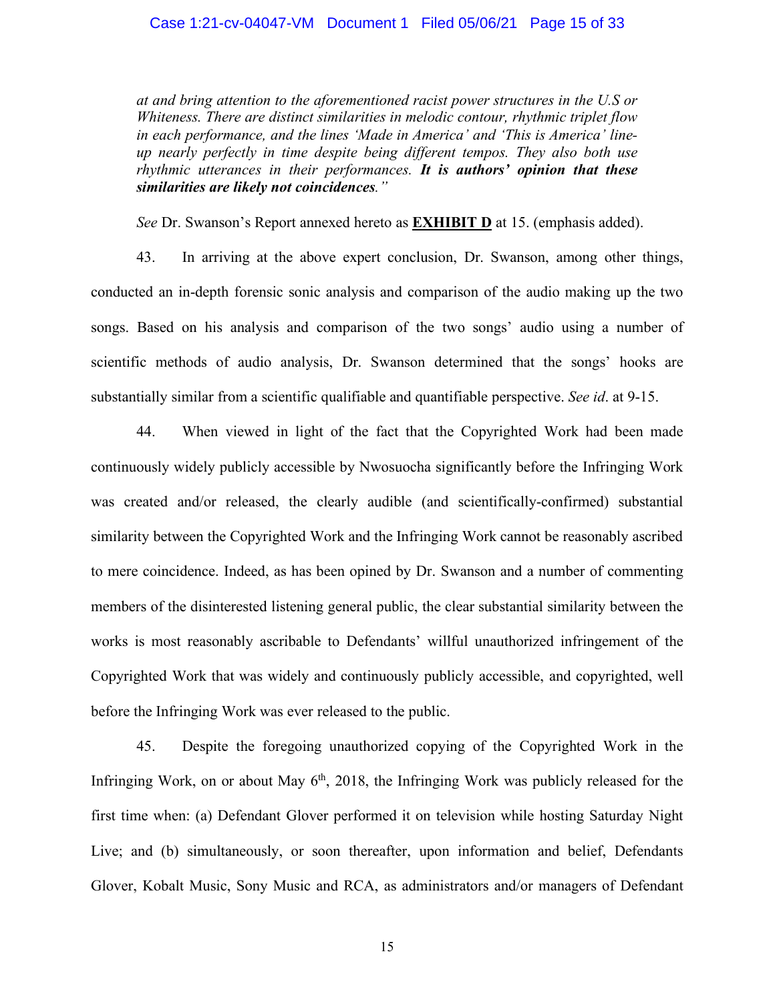#### Case 1:21-cv-04047-VM Document 1 Filed 05/06/21 Page 15 of 33

*at and bring attention to the aforementioned racist power structures in the U.S or Whiteness. There are distinct similarities in melodic contour, rhythmic triplet flow in each performance, and the lines 'Made in America' and 'This is America' lineup nearly perfectly in time despite being different tempos. They also both use rhythmic utterances in their performances. It is authors' opinion that these similarities are likely not coincidences."*

*See* Dr. Swanson's Report annexed hereto as **EXHIBIT D** at 15. (emphasis added).

43. In arriving at the above expert conclusion, Dr. Swanson, among other things, conducted an in-depth forensic sonic analysis and comparison of the audio making up the two songs. Based on his analysis and comparison of the two songs' audio using a number of scientific methods of audio analysis, Dr. Swanson determined that the songs' hooks are substantially similar from a scientific qualifiable and quantifiable perspective. *See id*. at 9-15.

44. When viewed in light of the fact that the Copyrighted Work had been made continuously widely publicly accessible by Nwosuocha significantly before the Infringing Work was created and/or released, the clearly audible (and scientifically-confirmed) substantial similarity between the Copyrighted Work and the Infringing Work cannot be reasonably ascribed to mere coincidence. Indeed, as has been opined by Dr. Swanson and a number of commenting members of the disinterested listening general public, the clear substantial similarity between the works is most reasonably ascribable to Defendants' willful unauthorized infringement of the Copyrighted Work that was widely and continuously publicly accessible, and copyrighted, well before the Infringing Work was ever released to the public.

45. Despite the foregoing unauthorized copying of the Copyrighted Work in the Infringing Work, on or about May  $6<sup>th</sup>$ , 2018, the Infringing Work was publicly released for the first time when: (a) Defendant Glover performed it on television while hosting Saturday Night Live; and (b) simultaneously, or soon thereafter, upon information and belief, Defendants Glover, Kobalt Music, Sony Music and RCA, as administrators and/or managers of Defendant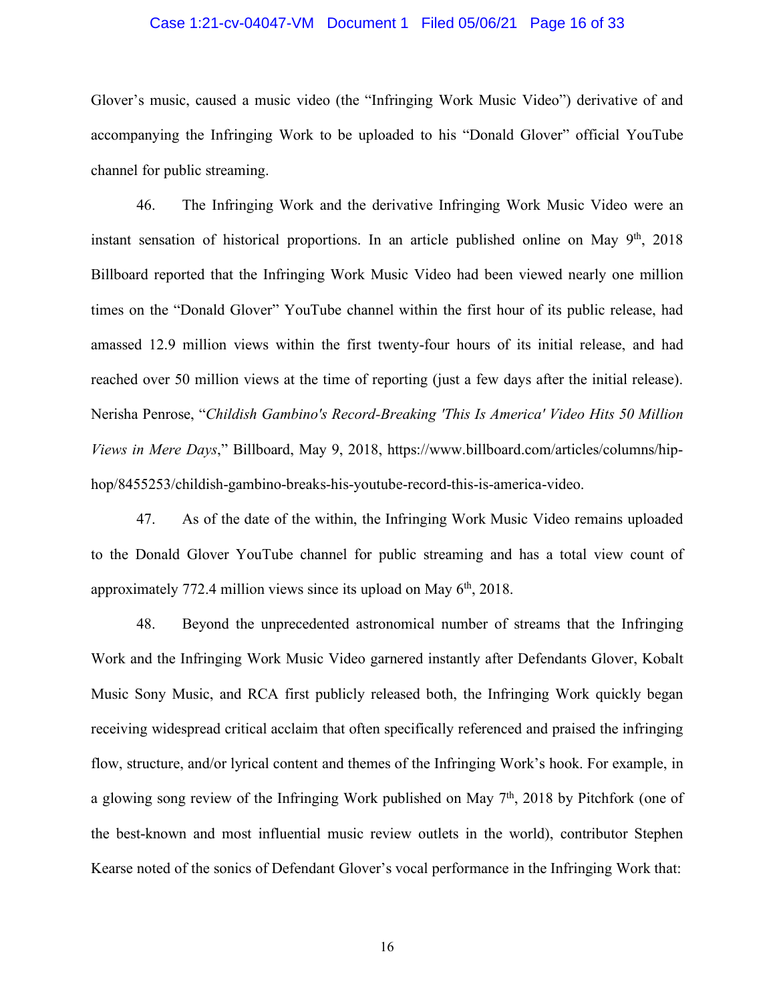#### Case 1:21-cv-04047-VM Document 1 Filed 05/06/21 Page 16 of 33

Glover's music, caused a music video (the "Infringing Work Music Video") derivative of and accompanying the Infringing Work to be uploaded to his "Donald Glover" official YouTube channel for public streaming.

46. The Infringing Work and the derivative Infringing Work Music Video were an instant sensation of historical proportions. In an article published online on May  $9<sup>th</sup>$ , 2018 Billboard reported that the Infringing Work Music Video had been viewed nearly one million times on the "Donald Glover" YouTube channel within the first hour of its public release, had amassed 12.9 million views within the first twenty-four hours of its initial release, and had reached over 50 million views at the time of reporting (just a few days after the initial release). Nerisha Penrose, "*Childish Gambino's Record-Breaking 'This Is America' Video Hits 50 Million Views in Mere Days*," Billboard, May 9, 2018, https://www.billboard.com/articles/columns/hiphop/8455253/childish-gambino-breaks-his-youtube-record-this-is-america-video.

47. As of the date of the within, the Infringing Work Music Video remains uploaded to the Donald Glover YouTube channel for public streaming and has a total view count of approximately 772.4 million views since its upload on May  $6<sup>th</sup>$ , 2018.

48. Beyond the unprecedented astronomical number of streams that the Infringing Work and the Infringing Work Music Video garnered instantly after Defendants Glover, Kobalt Music Sony Music, and RCA first publicly released both, the Infringing Work quickly began receiving widespread critical acclaim that often specifically referenced and praised the infringing flow, structure, and/or lyrical content and themes of the Infringing Work's hook. For example, in a glowing song review of the Infringing Work published on May  $7<sup>th</sup>$ , 2018 by Pitchfork (one of the best-known and most influential music review outlets in the world), contributor Stephen Kearse noted of the sonics of Defendant Glover's vocal performance in the Infringing Work that: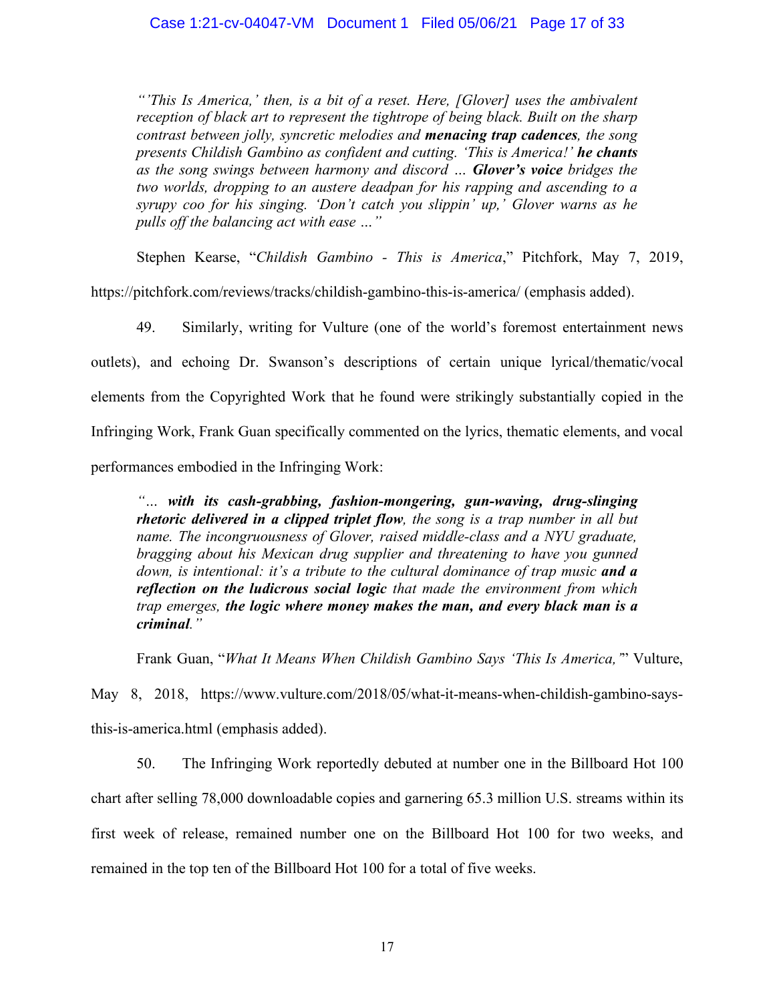*"'This Is America,' then, is a bit of a reset. Here, [Glover] uses the ambivalent reception of black art to represent the tightrope of being black. Built on the sharp contrast between jolly, syncretic melodies and menacing trap cadences, the song presents Childish Gambino as confident and cutting. 'This is America!' he chants as the song swings between harmony and discord … Glover's voice bridges the two worlds, dropping to an austere deadpan for his rapping and ascending to a syrupy coo for his singing. 'Don't catch you slippin' up,' Glover warns as he pulls off the balancing act with ease …"*

Stephen Kearse, "*Childish Gambino - This is America*," Pitchfork, May 7, 2019,

https://pitchfork.com/reviews/tracks/childish-gambino-this-is-america/ (emphasis added).

49. Similarly, writing for Vulture (one of the world's foremost entertainment news outlets), and echoing Dr. Swanson's descriptions of certain unique lyrical/thematic/vocal elements from the Copyrighted Work that he found were strikingly substantially copied in the Infringing Work, Frank Guan specifically commented on the lyrics, thematic elements, and vocal performances embodied in the Infringing Work:

*"… with its cash-grabbing, fashion-mongering, gun-waving, drug-slinging rhetoric delivered in a clipped triplet flow, the song is a trap number in all but name. The incongruousness of Glover, raised middle-class and a NYU graduate, bragging about his Mexican drug supplier and threatening to have you gunned down, is intentional: it's a tribute to the cultural dominance of trap music and a reflection on the ludicrous social logic that made the environment from which trap emerges, the logic where money makes the man, and every black man is a criminal."*

Frank Guan, "*What It Means When Childish Gambino Says 'This Is America,'*" Vulture,

May 8, 2018, https://www.vulture.com/2018/05/what-it-means-when-childish-gambino-saysthis-is-america.html (emphasis added).

50. The Infringing Work reportedly debuted at number one in the Billboard Hot 100 chart after selling 78,000 downloadable copies and garnering 65.3 million U.S. streams within its first week of release, remained number one on the Billboard Hot 100 for two weeks, and remained in the top ten of the Billboard Hot 100 for a total of five weeks.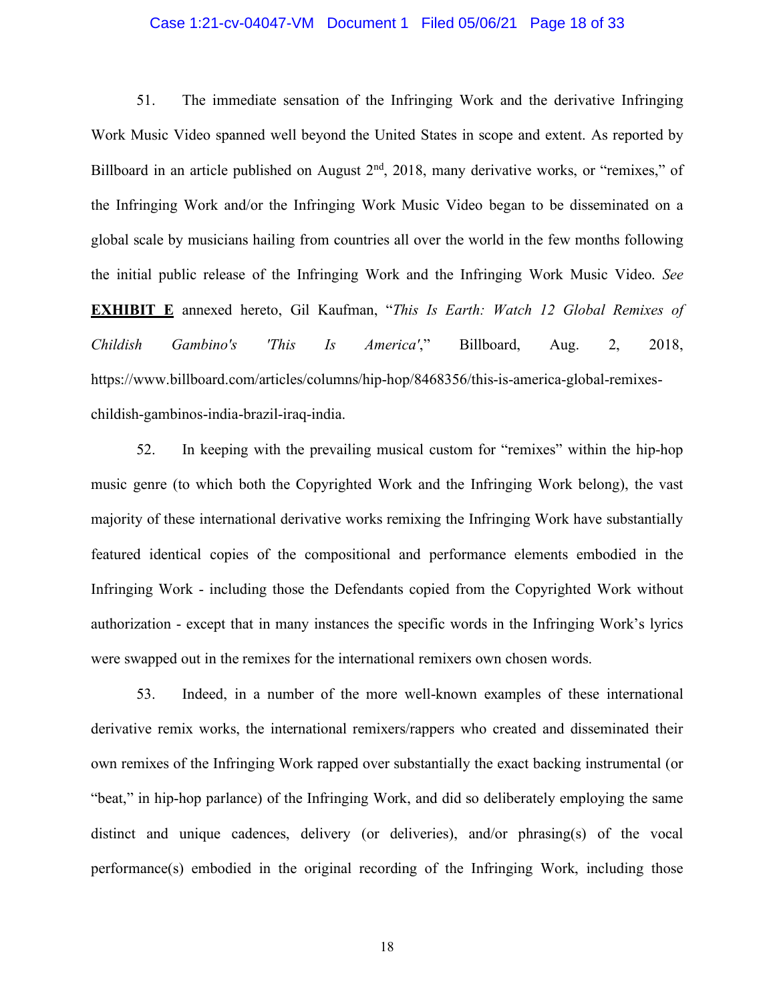#### Case 1:21-cv-04047-VM Document 1 Filed 05/06/21 Page 18 of 33

51. The immediate sensation of the Infringing Work and the derivative Infringing Work Music Video spanned well beyond the United States in scope and extent. As reported by Billboard in an article published on August  $2<sup>nd</sup>$ ,  $2018$ , many derivative works, or "remixes," of the Infringing Work and/or the Infringing Work Music Video began to be disseminated on a global scale by musicians hailing from countries all over the world in the few months following the initial public release of the Infringing Work and the Infringing Work Music Video. *See* **EXHIBIT E** annexed hereto, Gil Kaufman, "*This Is Earth: Watch 12 Global Remixes of Childish Gambino's 'This Is America'*," Billboard, Aug. 2, 2018, https://www.billboard.com/articles/columns/hip-hop/8468356/this-is-america-global-remixeschildish-gambinos-india-brazil-iraq-india.

52. In keeping with the prevailing musical custom for "remixes" within the hip-hop music genre (to which both the Copyrighted Work and the Infringing Work belong), the vast majority of these international derivative works remixing the Infringing Work have substantially featured identical copies of the compositional and performance elements embodied in the Infringing Work - including those the Defendants copied from the Copyrighted Work without authorization - except that in many instances the specific words in the Infringing Work's lyrics were swapped out in the remixes for the international remixers own chosen words.

53. Indeed, in a number of the more well-known examples of these international derivative remix works, the international remixers/rappers who created and disseminated their own remixes of the Infringing Work rapped over substantially the exact backing instrumental (or "beat," in hip-hop parlance) of the Infringing Work, and did so deliberately employing the same distinct and unique cadences, delivery (or deliveries), and/or phrasing(s) of the vocal performance(s) embodied in the original recording of the Infringing Work, including those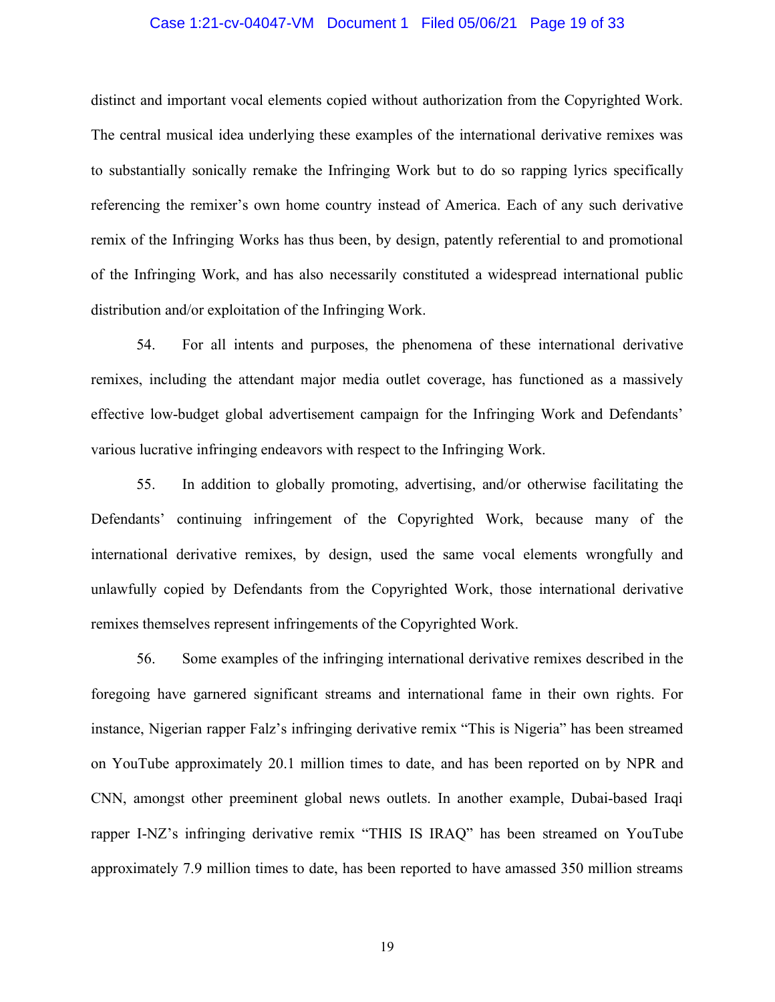#### Case 1:21-cv-04047-VM Document 1 Filed 05/06/21 Page 19 of 33

distinct and important vocal elements copied without authorization from the Copyrighted Work. The central musical idea underlying these examples of the international derivative remixes was to substantially sonically remake the Infringing Work but to do so rapping lyrics specifically referencing the remixer's own home country instead of America. Each of any such derivative remix of the Infringing Works has thus been, by design, patently referential to and promotional of the Infringing Work, and has also necessarily constituted a widespread international public distribution and/or exploitation of the Infringing Work.

54. For all intents and purposes, the phenomena of these international derivative remixes, including the attendant major media outlet coverage, has functioned as a massively effective low-budget global advertisement campaign for the Infringing Work and Defendants' various lucrative infringing endeavors with respect to the Infringing Work.

55. In addition to globally promoting, advertising, and/or otherwise facilitating the Defendants' continuing infringement of the Copyrighted Work, because many of the international derivative remixes, by design, used the same vocal elements wrongfully and unlawfully copied by Defendants from the Copyrighted Work, those international derivative remixes themselves represent infringements of the Copyrighted Work.

56. Some examples of the infringing international derivative remixes described in the foregoing have garnered significant streams and international fame in their own rights. For instance, Nigerian rapper Falz's infringing derivative remix "This is Nigeria" has been streamed on YouTube approximately 20.1 million times to date, and has been reported on by NPR and CNN, amongst other preeminent global news outlets. In another example, Dubai-based Iraqi rapper I-NZ's infringing derivative remix "THIS IS IRAQ" has been streamed on YouTube approximately 7.9 million times to date, has been reported to have amassed 350 million streams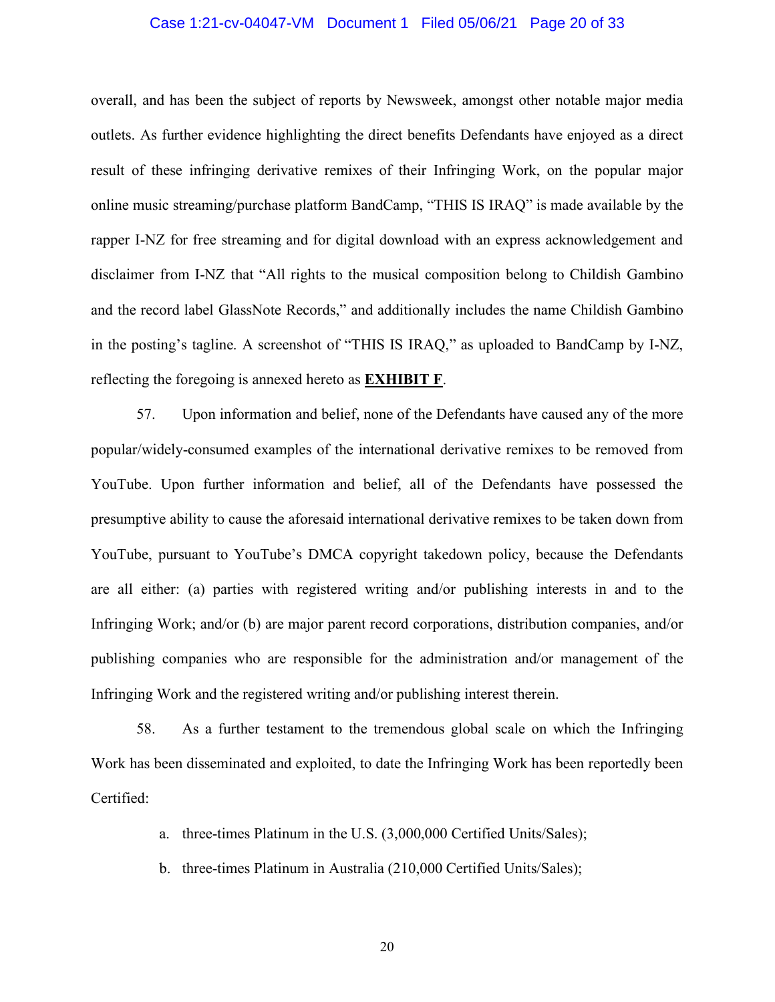### Case 1:21-cv-04047-VM Document 1 Filed 05/06/21 Page 20 of 33

overall, and has been the subject of reports by Newsweek, amongst other notable major media outlets. As further evidence highlighting the direct benefits Defendants have enjoyed as a direct result of these infringing derivative remixes of their Infringing Work, on the popular major online music streaming/purchase platform BandCamp, "THIS IS IRAQ" is made available by the rapper I-NZ for free streaming and for digital download with an express acknowledgement and disclaimer from I-NZ that "All rights to the musical composition belong to Childish Gambino and the record label GlassNote Records," and additionally includes the name Childish Gambino in the posting's tagline. A screenshot of "THIS IS IRAQ," as uploaded to BandCamp by I-NZ, reflecting the foregoing is annexed hereto as **EXHIBIT F**.

57. Upon information and belief, none of the Defendants have caused any of the more popular/widely-consumed examples of the international derivative remixes to be removed from YouTube. Upon further information and belief, all of the Defendants have possessed the presumptive ability to cause the aforesaid international derivative remixes to be taken down from YouTube, pursuant to YouTube's DMCA copyright takedown policy, because the Defendants are all either: (a) parties with registered writing and/or publishing interests in and to the Infringing Work; and/or (b) are major parent record corporations, distribution companies, and/or publishing companies who are responsible for the administration and/or management of the Infringing Work and the registered writing and/or publishing interest therein.

58. As a further testament to the tremendous global scale on which the Infringing Work has been disseminated and exploited, to date the Infringing Work has been reportedly been Certified:

- a. three-times Platinum in the U.S. (3,000,000 Certified Units/Sales);
- b. three-times Platinum in Australia (210,000 Certified Units/Sales);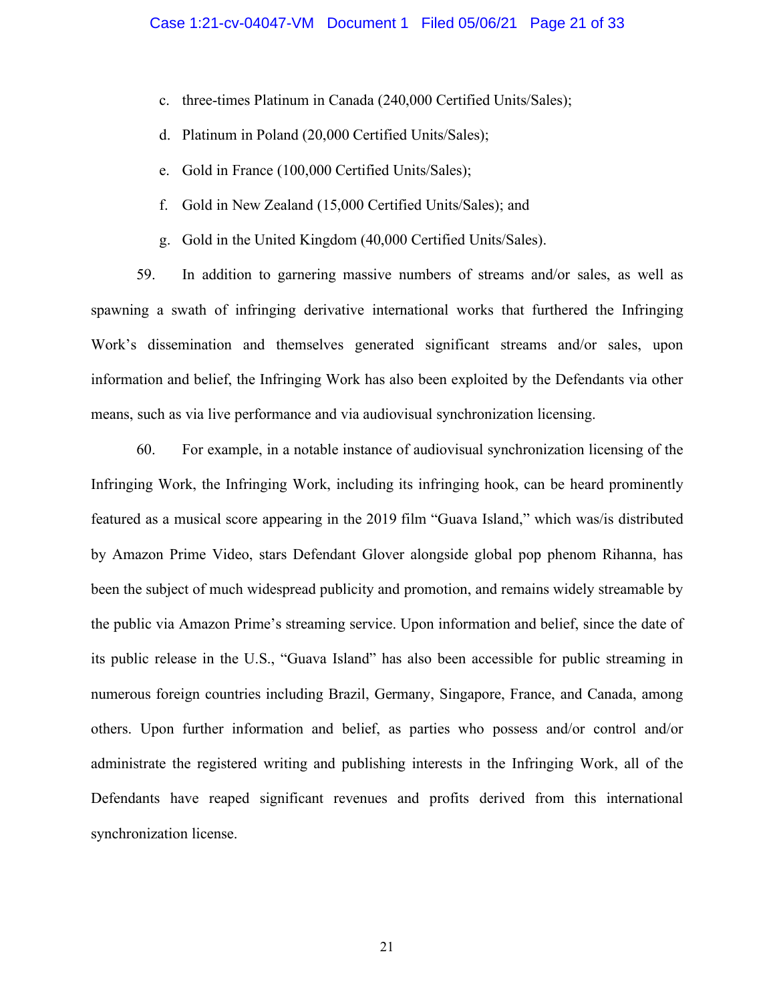- c. three-times Platinum in Canada (240,000 Certified Units/Sales);
- d. Platinum in Poland (20,000 Certified Units/Sales);
- e. Gold in France (100,000 Certified Units/Sales);
- f. Gold in New Zealand (15,000 Certified Units/Sales); and
- g. Gold in the United Kingdom (40,000 Certified Units/Sales).

59. In addition to garnering massive numbers of streams and/or sales, as well as spawning a swath of infringing derivative international works that furthered the Infringing Work's dissemination and themselves generated significant streams and/or sales, upon information and belief, the Infringing Work has also been exploited by the Defendants via other means, such as via live performance and via audiovisual synchronization licensing.

60. For example, in a notable instance of audiovisual synchronization licensing of the Infringing Work, the Infringing Work, including its infringing hook, can be heard prominently featured as a musical score appearing in the 2019 film "Guava Island," which was/is distributed by Amazon Prime Video, stars Defendant Glover alongside global pop phenom Rihanna, has been the subject of much widespread publicity and promotion, and remains widely streamable by the public via Amazon Prime's streaming service. Upon information and belief, since the date of its public release in the U.S., "Guava Island" has also been accessible for public streaming in numerous foreign countries including Brazil, Germany, Singapore, France, and Canada, among others. Upon further information and belief, as parties who possess and/or control and/or administrate the registered writing and publishing interests in the Infringing Work, all of the Defendants have reaped significant revenues and profits derived from this international synchronization license.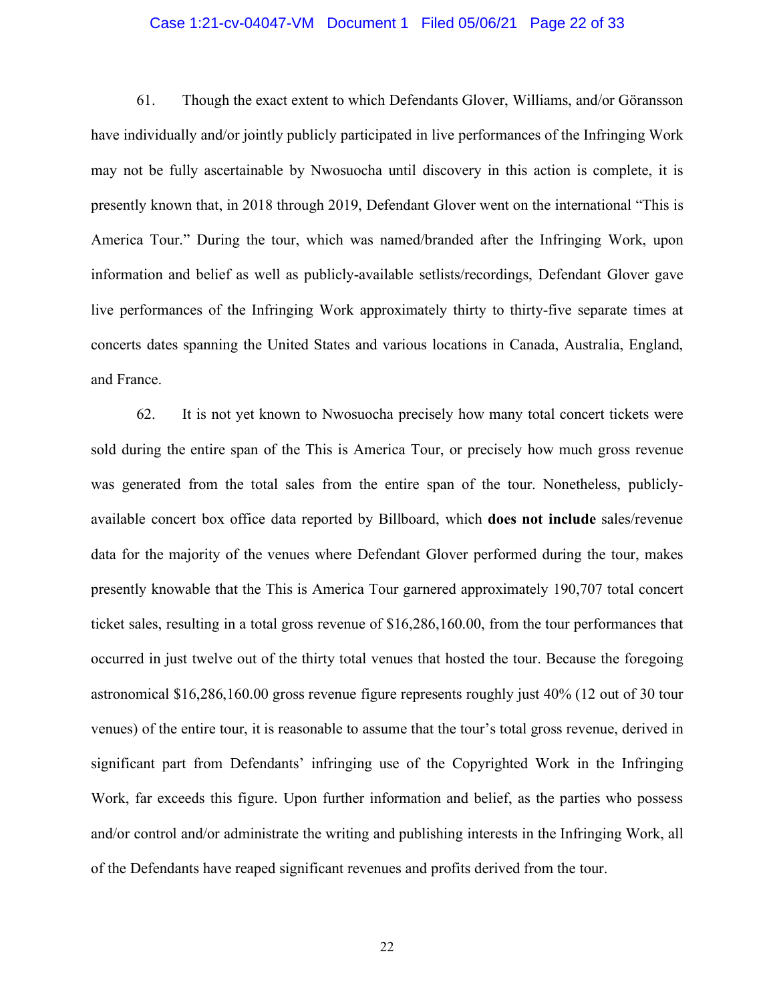#### Case 1:21-cv-04047-VM Document 1 Filed 05/06/21 Page 22 of 33

61. Though the exact extent to which Defendants Glover, Williams, and/or Göransson have individually and/or jointly publicly participated in live performances of the Infringing Work may not be fully ascertainable by Nwosuocha until discovery in this action is complete, it is presently known that, in 2018 through 2019, Defendant Glover went on the international "This is America Tour." During the tour, which was named/branded after the Infringing Work, upon information and belief as well as publicly-available setlists/recordings, Defendant Glover gave live performances of the Infringing Work approximately thirty to thirty-five separate times at concerts dates spanning the United States and various locations in Canada, Australia, England, and France.

62. It is not yet known to Nwosuocha precisely how many total concert tickets were sold during the entire span of the This is America Tour, or precisely how much gross revenue was generated from the total sales from the entire span of the tour. Nonetheless, publiclyavailable concert box office data reported by Billboard, which **does not include** sales/revenue data for the majority of the venues where Defendant Glover performed during the tour, makes presently knowable that the This is America Tour garnered approximately 190,707 total concert ticket sales, resulting in a total gross revenue of \$16,286,160.00, from the tour performances that occurred in just twelve out of the thirty total venues that hosted the tour. Because the foregoing astronomical \$16,286,160.00 gross revenue figure represents roughly just 40% (12 out of 30 tour venues) of the entire tour, it is reasonable to assume that the tour's total gross revenue, derived in significant part from Defendants' infringing use of the Copyrighted Work in the Infringing Work, far exceeds this figure. Upon further information and belief, as the parties who possess and/or control and/or administrate the writing and publishing interests in the Infringing Work, all of the Defendants have reaped significant revenues and profits derived from the tour.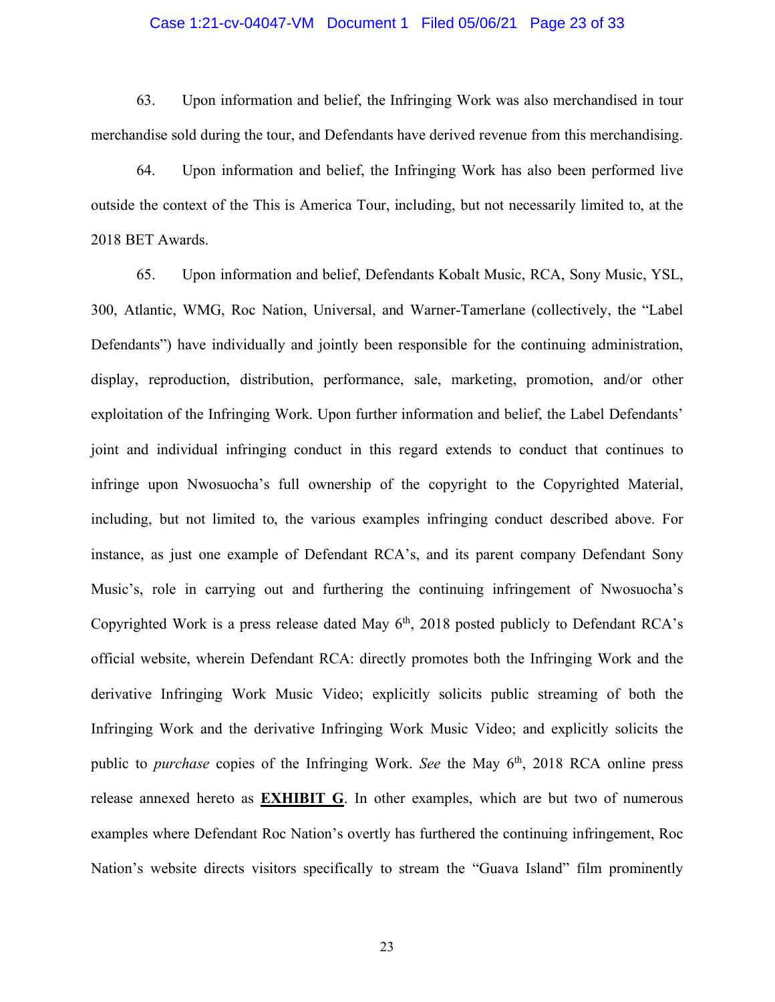#### Case 1:21-cv-04047-VM Document 1 Filed 05/06/21 Page 23 of 33

63. Upon information and belief, the Infringing Work was also merchandised in tour merchandise sold during the tour, and Defendants have derived revenue from this merchandising.

64. Upon information and belief, the Infringing Work has also been performed live outside the context of the This is America Tour, including, but not necessarily limited to, at the 2018 BET Awards.

65. Upon information and belief, Defendants Kobalt Music, RCA, Sony Music, YSL, 300, Atlantic, WMG, Roc Nation, Universal, and Warner-Tamerlane (collectively, the "Label Defendants") have individually and jointly been responsible for the continuing administration, display, reproduction, distribution, performance, sale, marketing, promotion, and/or other exploitation of the Infringing Work. Upon further information and belief, the Label Defendants' joint and individual infringing conduct in this regard extends to conduct that continues to infringe upon Nwosuocha's full ownership of the copyright to the Copyrighted Material, including, but not limited to, the various examples infringing conduct described above. For instance, as just one example of Defendant RCA's, and its parent company Defendant Sony Music's, role in carrying out and furthering the continuing infringement of Nwosuocha's Copyrighted Work is a press release dated May  $6<sup>th</sup>$ , 2018 posted publicly to Defendant RCA's official website, wherein Defendant RCA: directly promotes both the Infringing Work and the derivative Infringing Work Music Video; explicitly solicits public streaming of both the Infringing Work and the derivative Infringing Work Music Video; and explicitly solicits the public to *purchase* copies of the Infringing Work. *See* the May 6<sup>th</sup>, 2018 RCA online press release annexed hereto as **EXHIBIT G**. In other examples, which are but two of numerous examples where Defendant Roc Nation's overtly has furthered the continuing infringement, Roc Nation's website directs visitors specifically to stream the "Guava Island" film prominently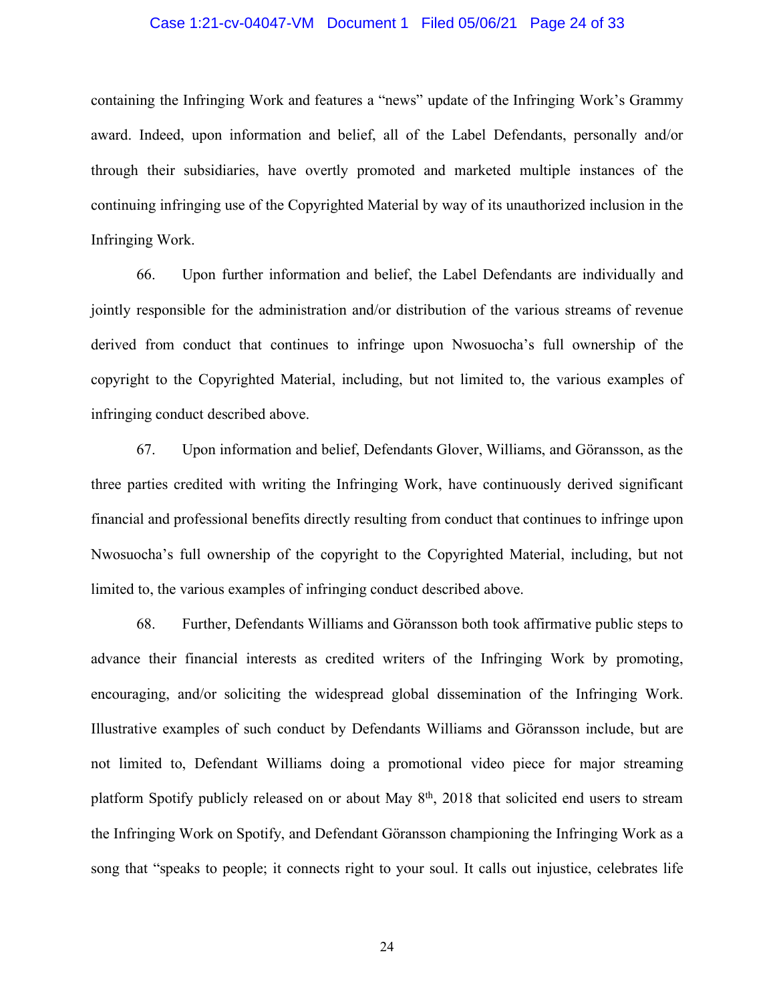#### Case 1:21-cv-04047-VM Document 1 Filed 05/06/21 Page 24 of 33

containing the Infringing Work and features a "news" update of the Infringing Work's Grammy award. Indeed, upon information and belief, all of the Label Defendants, personally and/or through their subsidiaries, have overtly promoted and marketed multiple instances of the continuing infringing use of the Copyrighted Material by way of its unauthorized inclusion in the Infringing Work.

66. Upon further information and belief, the Label Defendants are individually and jointly responsible for the administration and/or distribution of the various streams of revenue derived from conduct that continues to infringe upon Nwosuocha's full ownership of the copyright to the Copyrighted Material, including, but not limited to, the various examples of infringing conduct described above.

67. Upon information and belief, Defendants Glover, Williams, and Göransson, as the three parties credited with writing the Infringing Work, have continuously derived significant financial and professional benefits directly resulting from conduct that continues to infringe upon Nwosuocha's full ownership of the copyright to the Copyrighted Material, including, but not limited to, the various examples of infringing conduct described above.

68. Further, Defendants Williams and Göransson both took affirmative public steps to advance their financial interests as credited writers of the Infringing Work by promoting, encouraging, and/or soliciting the widespread global dissemination of the Infringing Work. Illustrative examples of such conduct by Defendants Williams and Göransson include, but are not limited to, Defendant Williams doing a promotional video piece for major streaming platform Spotify publicly released on or about May 8<sup>th</sup>, 2018 that solicited end users to stream the Infringing Work on Spotify, and Defendant Göransson championing the Infringing Work as a song that "speaks to people; it connects right to your soul. It calls out injustice, celebrates life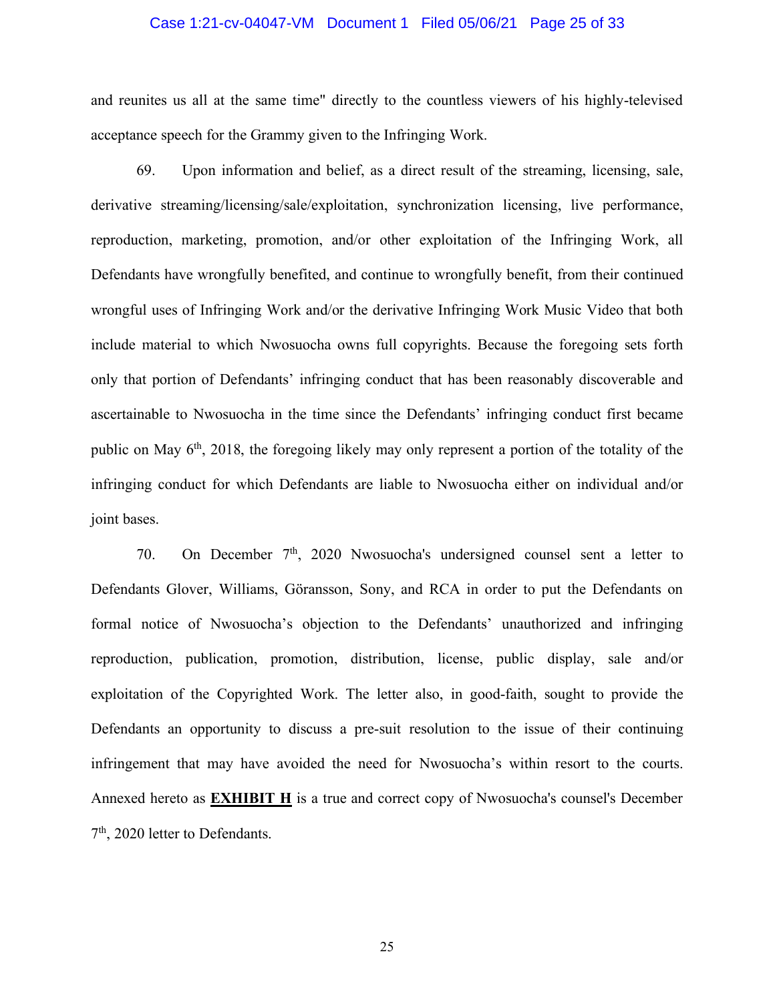#### Case 1:21-cv-04047-VM Document 1 Filed 05/06/21 Page 25 of 33

and reunites us all at the same time" directly to the countless viewers of his highly-televised acceptance speech for the Grammy given to the Infringing Work.

69. Upon information and belief, as a direct result of the streaming, licensing, sale, derivative streaming/licensing/sale/exploitation, synchronization licensing, live performance, reproduction, marketing, promotion, and/or other exploitation of the Infringing Work, all Defendants have wrongfully benefited, and continue to wrongfully benefit, from their continued wrongful uses of Infringing Work and/or the derivative Infringing Work Music Video that both include material to which Nwosuocha owns full copyrights. Because the foregoing sets forth only that portion of Defendants' infringing conduct that has been reasonably discoverable and ascertainable to Nwosuocha in the time since the Defendants' infringing conduct first became public on May  $6<sup>th</sup>$ , 2018, the foregoing likely may only represent a portion of the totality of the infringing conduct for which Defendants are liable to Nwosuocha either on individual and/or joint bases.

70. On December  $7<sup>th</sup>$ , 2020 Nwosuocha's undersigned counsel sent a letter to Defendants Glover, Williams, Göransson, Sony, and RCA in order to put the Defendants on formal notice of Nwosuocha's objection to the Defendants' unauthorized and infringing reproduction, publication, promotion, distribution, license, public display, sale and/or exploitation of the Copyrighted Work. The letter also, in good-faith, sought to provide the Defendants an opportunity to discuss a pre-suit resolution to the issue of their continuing infringement that may have avoided the need for Nwosuocha's within resort to the courts. Annexed hereto as **EXHIBIT H** is a true and correct copy of Nwosuocha's counsel's December 7th, 2020 letter to Defendants.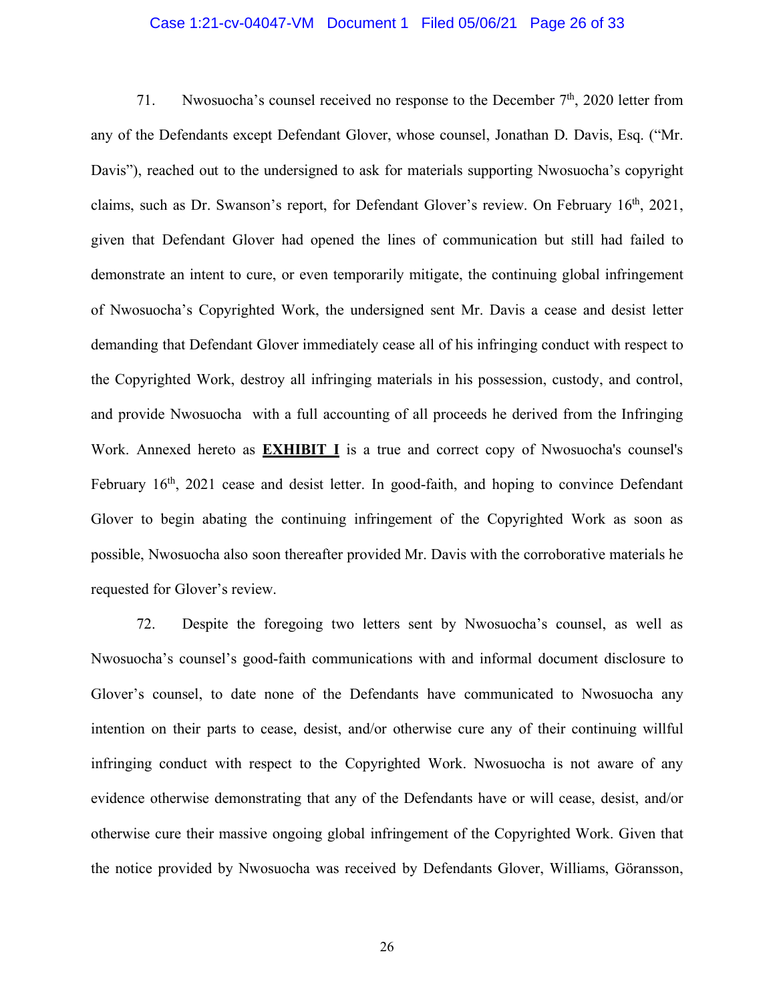#### Case 1:21-cv-04047-VM Document 1 Filed 05/06/21 Page 26 of 33

71. Nwosuocha's counsel received no response to the December  $7<sup>th</sup>$ , 2020 letter from any of the Defendants except Defendant Glover, whose counsel, Jonathan D. Davis, Esq. ("Mr. Davis"), reached out to the undersigned to ask for materials supporting Nwosuocha's copyright claims, such as Dr. Swanson's report, for Defendant Glover's review. On February 16<sup>th</sup>, 2021, given that Defendant Glover had opened the lines of communication but still had failed to demonstrate an intent to cure, or even temporarily mitigate, the continuing global infringement of Nwosuocha's Copyrighted Work, the undersigned sent Mr. Davis a cease and desist letter demanding that Defendant Glover immediately cease all of his infringing conduct with respect to the Copyrighted Work, destroy all infringing materials in his possession, custody, and control, and provide Nwosuocha with a full accounting of all proceeds he derived from the Infringing Work. Annexed hereto as **EXHIBIT I** is a true and correct copy of Nwosuocha's counsel's February 16<sup>th</sup>, 2021 cease and desist letter. In good-faith, and hoping to convince Defendant Glover to begin abating the continuing infringement of the Copyrighted Work as soon as possible, Nwosuocha also soon thereafter provided Mr. Davis with the corroborative materials he requested for Glover's review.

72. Despite the foregoing two letters sent by Nwosuocha's counsel, as well as Nwosuocha's counsel's good-faith communications with and informal document disclosure to Glover's counsel, to date none of the Defendants have communicated to Nwosuocha any intention on their parts to cease, desist, and/or otherwise cure any of their continuing willful infringing conduct with respect to the Copyrighted Work. Nwosuocha is not aware of any evidence otherwise demonstrating that any of the Defendants have or will cease, desist, and/or otherwise cure their massive ongoing global infringement of the Copyrighted Work. Given that the notice provided by Nwosuocha was received by Defendants Glover, Williams, Göransson,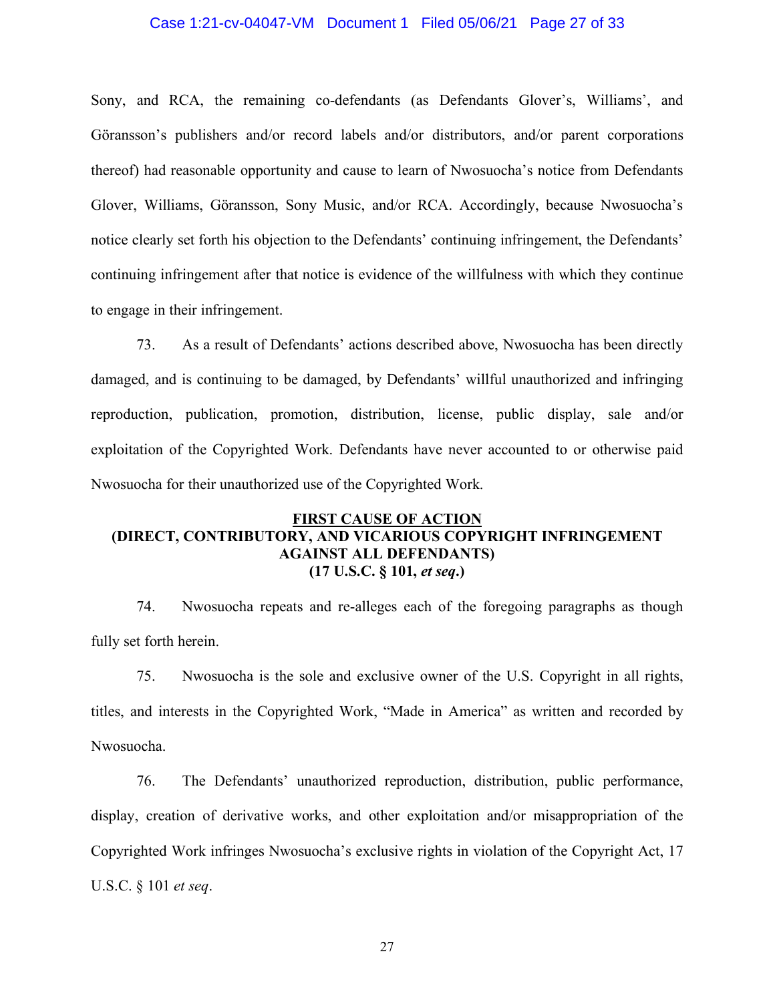#### Case 1:21-cv-04047-VM Document 1 Filed 05/06/21 Page 27 of 33

Sony, and RCA, the remaining co-defendants (as Defendants Glover's, Williams', and Göransson's publishers and/or record labels and/or distributors, and/or parent corporations thereof) had reasonable opportunity and cause to learn of Nwosuocha's notice from Defendants Glover, Williams, Göransson, Sony Music, and/or RCA. Accordingly, because Nwosuocha's notice clearly set forth his objection to the Defendants' continuing infringement, the Defendants' continuing infringement after that notice is evidence of the willfulness with which they continue to engage in their infringement.

73. As a result of Defendants' actions described above, Nwosuocha has been directly damaged, and is continuing to be damaged, by Defendants' willful unauthorized and infringing reproduction, publication, promotion, distribution, license, public display, sale and/or exploitation of the Copyrighted Work. Defendants have never accounted to or otherwise paid Nwosuocha for their unauthorized use of the Copyrighted Work.

# **FIRST CAUSE OF ACTION (DIRECT, CONTRIBUTORY, AND VICARIOUS COPYRIGHT INFRINGEMENT AGAINST ALL DEFENDANTS) (17 U.S.C. § 101,** *et seq***.)**

74. Nwosuocha repeats and re-alleges each of the foregoing paragraphs as though fully set forth herein.

75. Nwosuocha is the sole and exclusive owner of the U.S. Copyright in all rights, titles, and interests in the Copyrighted Work, "Made in America" as written and recorded by Nwosuocha.

76. The Defendants' unauthorized reproduction, distribution, public performance, display, creation of derivative works, and other exploitation and/or misappropriation of the Copyrighted Work infringes Nwosuocha's exclusive rights in violation of the Copyright Act, 17 U.S.C. § 101 *et seq*.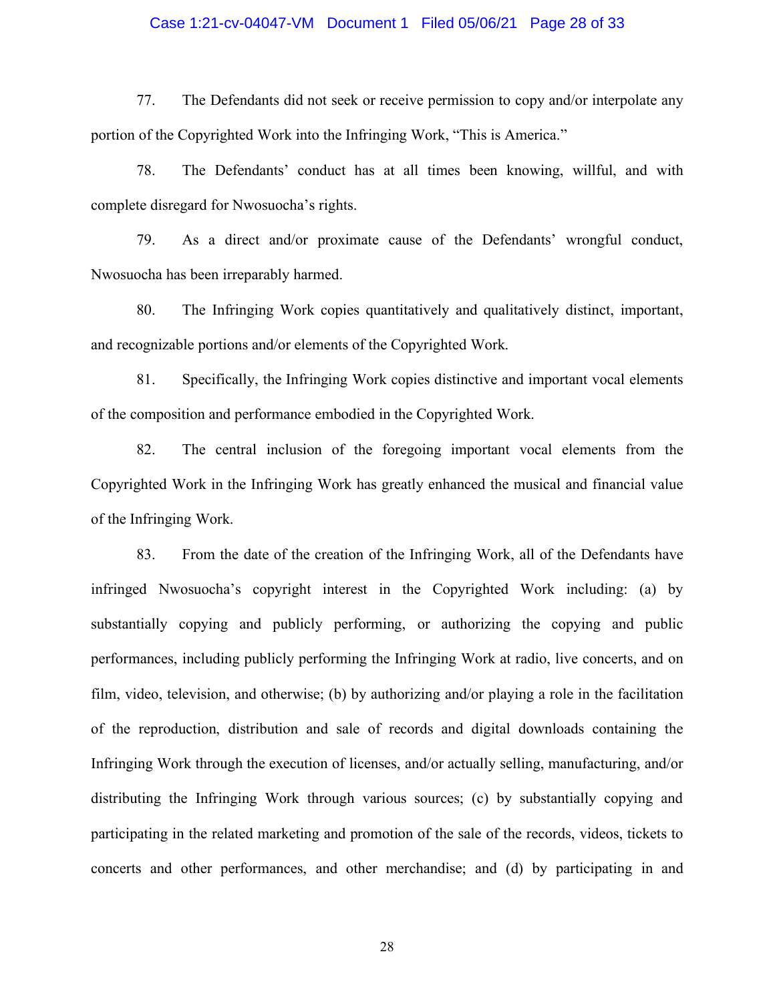### Case 1:21-cv-04047-VM Document 1 Filed 05/06/21 Page 28 of 33

77. The Defendants did not seek or receive permission to copy and/or interpolate any portion of the Copyrighted Work into the Infringing Work, "This is America."

78. The Defendants' conduct has at all times been knowing, willful, and with complete disregard for Nwosuocha's rights.

79. As a direct and/or proximate cause of the Defendants' wrongful conduct, Nwosuocha has been irreparably harmed.

80. The Infringing Work copies quantitatively and qualitatively distinct, important, and recognizable portions and/or elements of the Copyrighted Work.

81. Specifically, the Infringing Work copies distinctive and important vocal elements of the composition and performance embodied in the Copyrighted Work.

82. The central inclusion of the foregoing important vocal elements from the Copyrighted Work in the Infringing Work has greatly enhanced the musical and financial value of the Infringing Work.

83. From the date of the creation of the Infringing Work, all of the Defendants have infringed Nwosuocha's copyright interest in the Copyrighted Work including: (a) by substantially copying and publicly performing, or authorizing the copying and public performances, including publicly performing the Infringing Work at radio, live concerts, and on film, video, television, and otherwise; (b) by authorizing and/or playing a role in the facilitation of the reproduction, distribution and sale of records and digital downloads containing the Infringing Work through the execution of licenses, and/or actually selling, manufacturing, and/or distributing the Infringing Work through various sources; (c) by substantially copying and participating in the related marketing and promotion of the sale of the records, videos, tickets to concerts and other performances, and other merchandise; and (d) by participating in and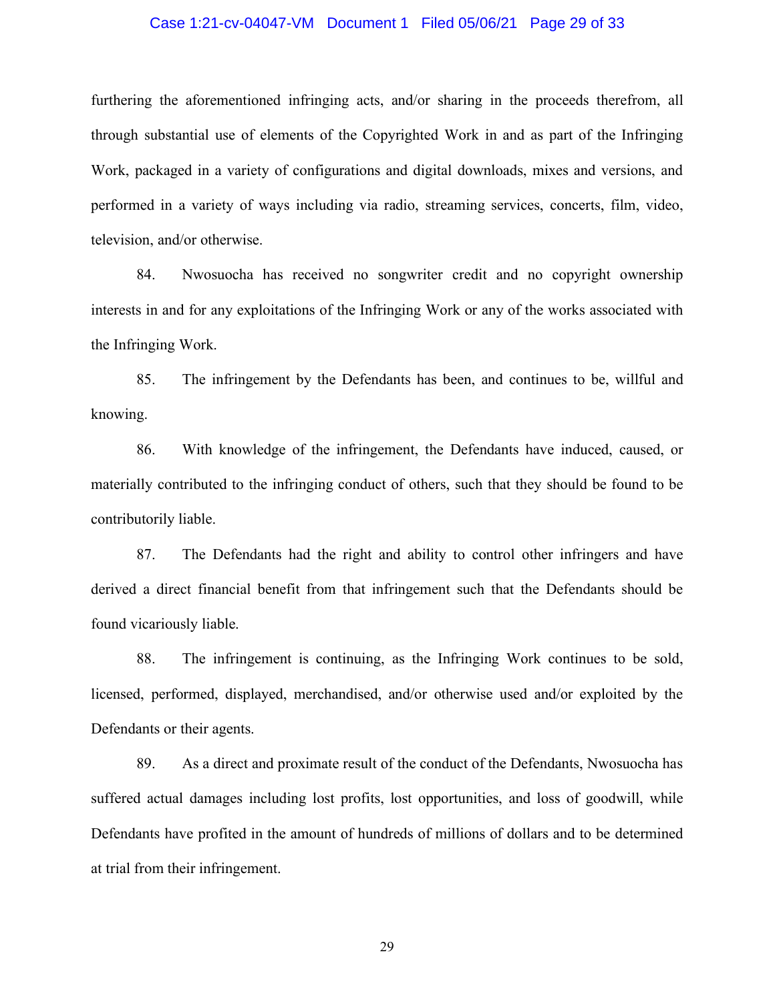#### Case 1:21-cv-04047-VM Document 1 Filed 05/06/21 Page 29 of 33

furthering the aforementioned infringing acts, and/or sharing in the proceeds therefrom, all through substantial use of elements of the Copyrighted Work in and as part of the Infringing Work, packaged in a variety of configurations and digital downloads, mixes and versions, and performed in a variety of ways including via radio, streaming services, concerts, film, video, television, and/or otherwise.

84. Nwosuocha has received no songwriter credit and no copyright ownership interests in and for any exploitations of the Infringing Work or any of the works associated with the Infringing Work.

85. The infringement by the Defendants has been, and continues to be, willful and knowing.

86. With knowledge of the infringement, the Defendants have induced, caused, or materially contributed to the infringing conduct of others, such that they should be found to be contributorily liable.

87. The Defendants had the right and ability to control other infringers and have derived a direct financial benefit from that infringement such that the Defendants should be found vicariously liable.

88. The infringement is continuing, as the Infringing Work continues to be sold, licensed, performed, displayed, merchandised, and/or otherwise used and/or exploited by the Defendants or their agents.

89. As a direct and proximate result of the conduct of the Defendants, Nwosuocha has suffered actual damages including lost profits, lost opportunities, and loss of goodwill, while Defendants have profited in the amount of hundreds of millions of dollars and to be determined at trial from their infringement.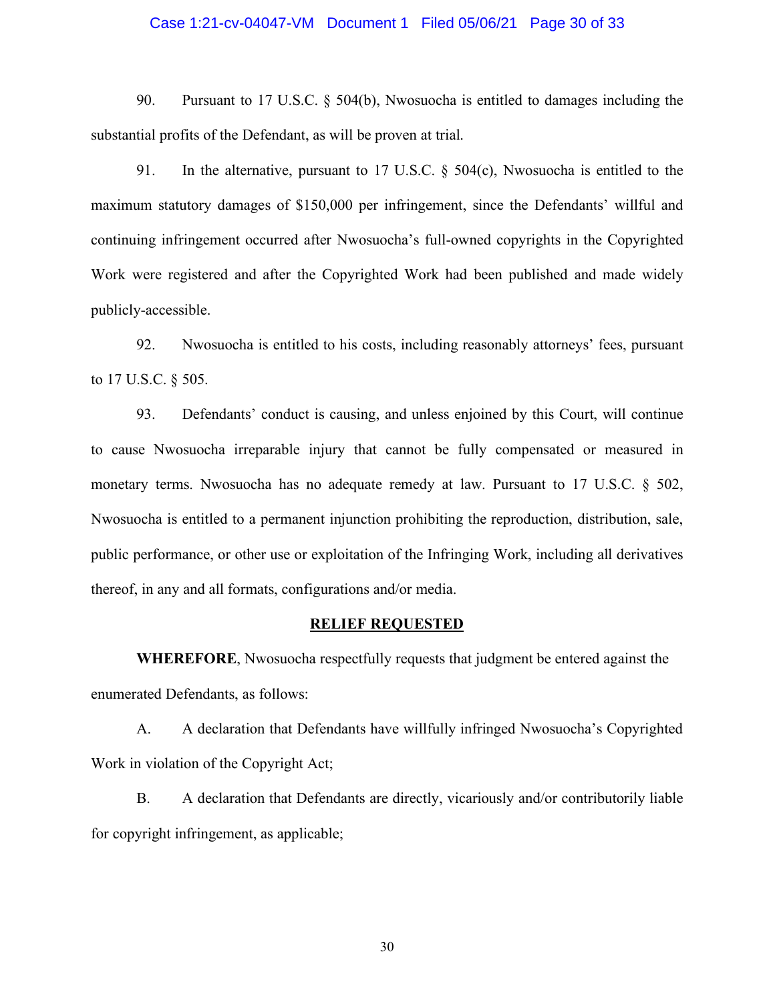#### Case 1:21-cv-04047-VM Document 1 Filed 05/06/21 Page 30 of 33

90. Pursuant to 17 U.S.C. § 504(b), Nwosuocha is entitled to damages including the substantial profits of the Defendant, as will be proven at trial.

91. In the alternative, pursuant to 17 U.S.C. § 504(c), Nwosuocha is entitled to the maximum statutory damages of \$150,000 per infringement, since the Defendants' willful and continuing infringement occurred after Nwosuocha's full-owned copyrights in the Copyrighted Work were registered and after the Copyrighted Work had been published and made widely publicly-accessible.

92. Nwosuocha is entitled to his costs, including reasonably attorneys' fees, pursuant to 17 U.S.C. § 505.

93. Defendants' conduct is causing, and unless enjoined by this Court, will continue to cause Nwosuocha irreparable injury that cannot be fully compensated or measured in monetary terms. Nwosuocha has no adequate remedy at law. Pursuant to 17 U.S.C. § 502, Nwosuocha is entitled to a permanent injunction prohibiting the reproduction, distribution, sale, public performance, or other use or exploitation of the Infringing Work, including all derivatives thereof, in any and all formats, configurations and/or media.

#### **RELIEF REQUESTED**

**WHEREFORE**, Nwosuocha respectfully requests that judgment be entered against the enumerated Defendants, as follows:

A. A declaration that Defendants have willfully infringed Nwosuocha's Copyrighted Work in violation of the Copyright Act;

B. A declaration that Defendants are directly, vicariously and/or contributorily liable for copyright infringement, as applicable;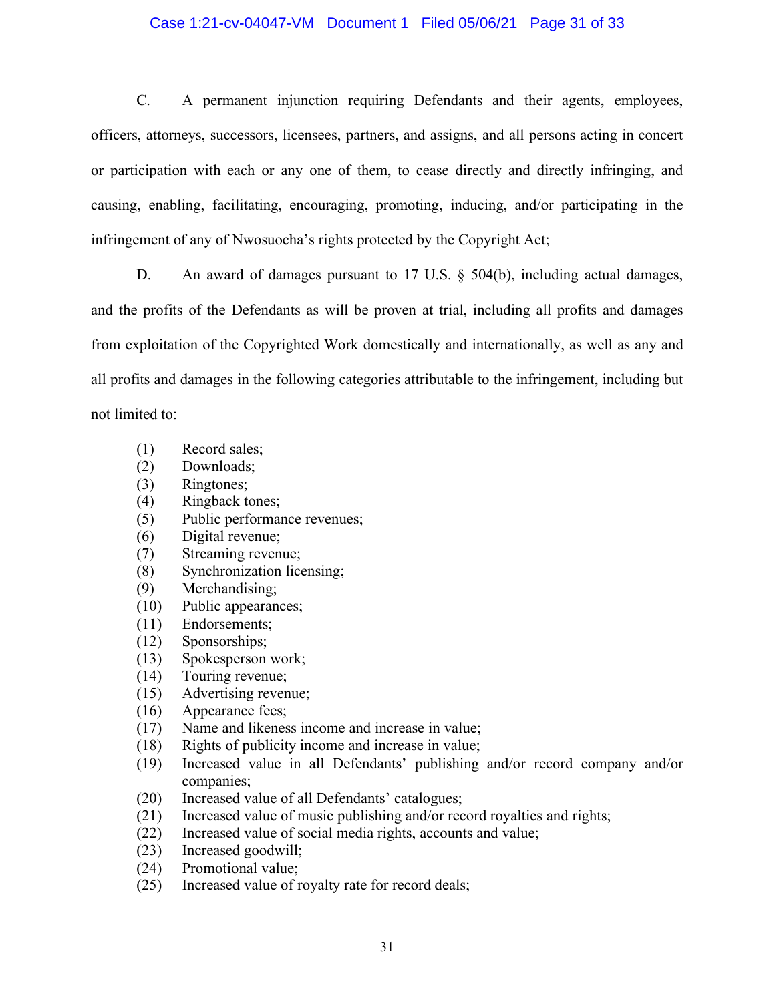# Case 1:21-cv-04047-VM Document 1 Filed 05/06/21 Page 31 of 33

C. A permanent injunction requiring Defendants and their agents, employees, officers, attorneys, successors, licensees, partners, and assigns, and all persons acting in concert or participation with each or any one of them, to cease directly and directly infringing, and causing, enabling, facilitating, encouraging, promoting, inducing, and/or participating in the infringement of any of Nwosuocha's rights protected by the Copyright Act;

D. An award of damages pursuant to 17 U.S. § 504(b), including actual damages, and the profits of the Defendants as will be proven at trial, including all profits and damages from exploitation of the Copyrighted Work domestically and internationally, as well as any and all profits and damages in the following categories attributable to the infringement, including but not limited to:

- (1) Record sales;
- (2) Downloads;
- (3) Ringtones;
- (4) Ringback tones;
- (5) Public performance revenues;
- (6) Digital revenue;
- (7) Streaming revenue;
- (8) Synchronization licensing;
- (9) Merchandising;
- (10) Public appearances;
- (11) Endorsements;
- (12) Sponsorships;
- (13) Spokesperson work;
- (14) Touring revenue;
- (15) Advertising revenue;
- (16) Appearance fees;
- (17) Name and likeness income and increase in value;
- (18) Rights of publicity income and increase in value;
- (19) Increased value in all Defendants' publishing and/or record company and/or companies;
- (20) Increased value of all Defendants' catalogues;
- (21) Increased value of music publishing and/or record royalties and rights;
- (22) Increased value of social media rights, accounts and value;
- (23) Increased goodwill;
- (24) Promotional value;
- (25) Increased value of royalty rate for record deals;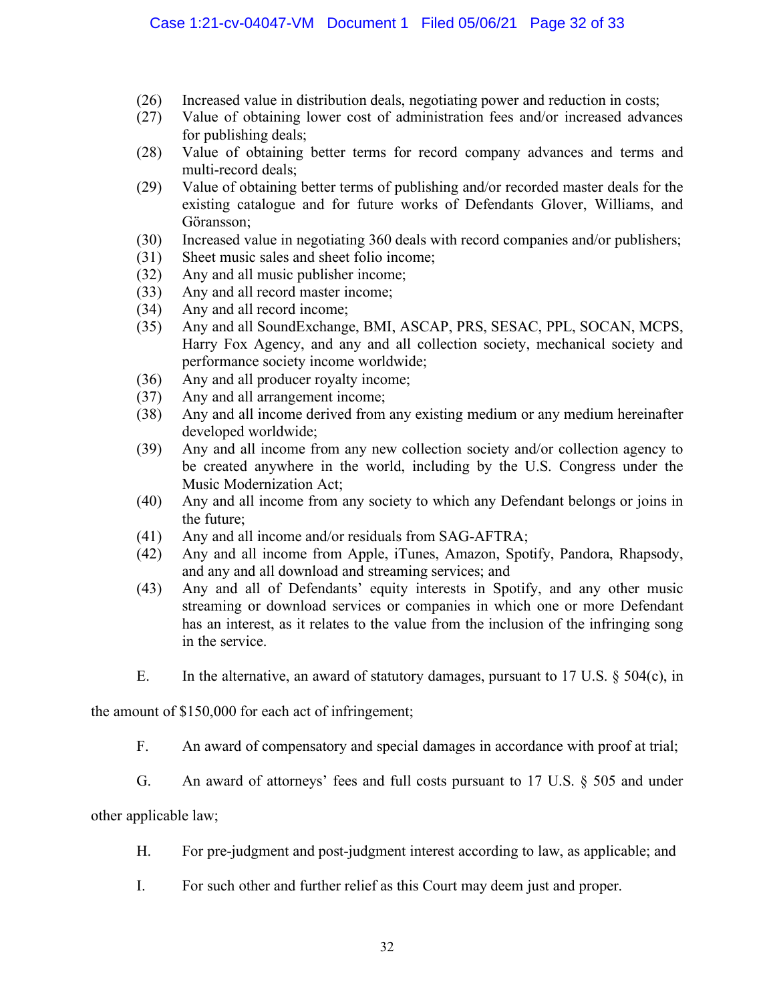- (26) Increased value in distribution deals, negotiating power and reduction in costs;
- (27) Value of obtaining lower cost of administration fees and/or increased advances for publishing deals;
- (28) Value of obtaining better terms for record company advances and terms and multi-record deals;
- (29) Value of obtaining better terms of publishing and/or recorded master deals for the existing catalogue and for future works of Defendants Glover, Williams, and Göransson;
- (30) Increased value in negotiating 360 deals with record companies and/or publishers;
- (31) Sheet music sales and sheet folio income;
- (32) Any and all music publisher income;
- (33) Any and all record master income;
- (34) Any and all record income;
- (35) Any and all SoundExchange, BMI, ASCAP, PRS, SESAC, PPL, SOCAN, MCPS, Harry Fox Agency, and any and all collection society, mechanical society and performance society income worldwide;
- (36) Any and all producer royalty income;
- (37) Any and all arrangement income;
- (38) Any and all income derived from any existing medium or any medium hereinafter developed worldwide;
- (39) Any and all income from any new collection society and/or collection agency to be created anywhere in the world, including by the U.S. Congress under the Music Modernization Act;
- (40) Any and all income from any society to which any Defendant belongs or joins in the future;
- (41) Any and all income and/or residuals from SAG-AFTRA;
- (42) Any and all income from Apple, iTunes, Amazon, Spotify, Pandora, Rhapsody, and any and all download and streaming services; and
- (43) Any and all of Defendants' equity interests in Spotify, and any other music streaming or download services or companies in which one or more Defendant has an interest, as it relates to the value from the inclusion of the infringing song in the service.
- E. In the alternative, an award of statutory damages, pursuant to 17 U.S. § 504(c), in

the amount of \$150,000 for each act of infringement;

- F. An award of compensatory and special damages in accordance with proof at trial;
- G. An award of attorneys' fees and full costs pursuant to 17 U.S. § 505 and under

other applicable law;

- H. For pre-judgment and post-judgment interest according to law, as applicable; and
- I. For such other and further relief as this Court may deem just and proper.